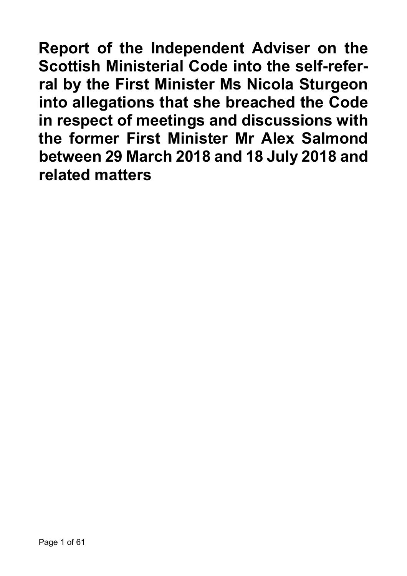**Report of the Independent Adviser on the Scottish Ministerial Code into the self-referral by the First Minister Ms Nicola Sturgeon into allegations that she breached the Code in respect of meetings and discussions with the former First Minister Mr Alex Salmond between 29 March 2018 and 18 July 2018 and related matters**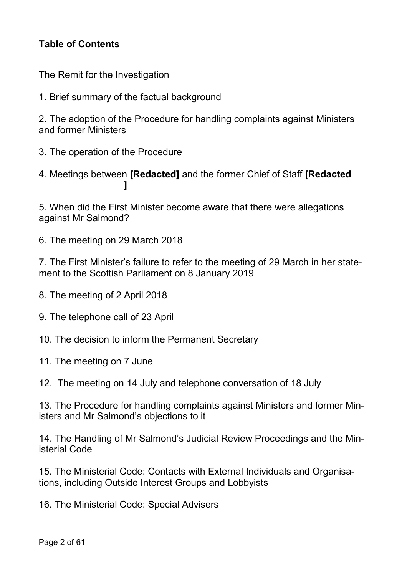# **Table of Contents**

The Remit for the Investigation

1. Brief summary of the factual background

2. The adoption of the Procedure for handling complaints against Ministers and former Ministers

- 3. The operation of the Procedure
- 4. Meetings between **[Redacted]** and the former Chief of Staff **[Redacted ]**

5. When did the First Minister become aware that there were allegations against Mr Salmond?

6. The meeting on 29 March 2018

7. The First Minister's failure to refer to the meeting of 29 March in her statement to the Scottish Parliament on 8 January 2019

- 8. The meeting of 2 April 2018
- 9. The telephone call of 23 April
- 10. The decision to inform the Permanent Secretary
- 11. The meeting on 7 June

12. The meeting on 14 July and telephone conversation of 18 July

13. The Procedure for handling complaints against Ministers and former Ministers and Mr Salmond's objections to it

14. The Handling of Mr Salmond's Judicial Review Proceedings and the Ministerial Code

15. The Ministerial Code: Contacts with External Individuals and Organisations, including Outside Interest Groups and Lobbyists

16. The Ministerial Code: Special Advisers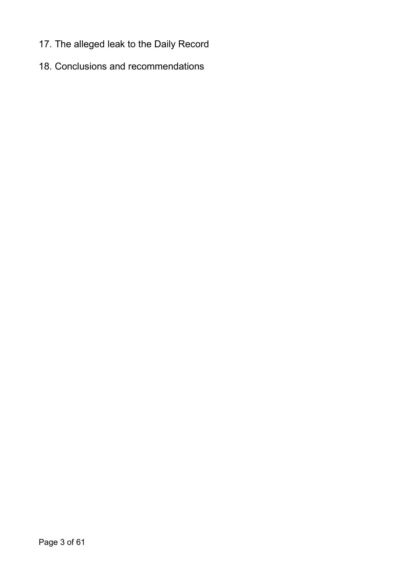- 17. The alleged leak to the Daily Record
- 18. Conclusions and recommendations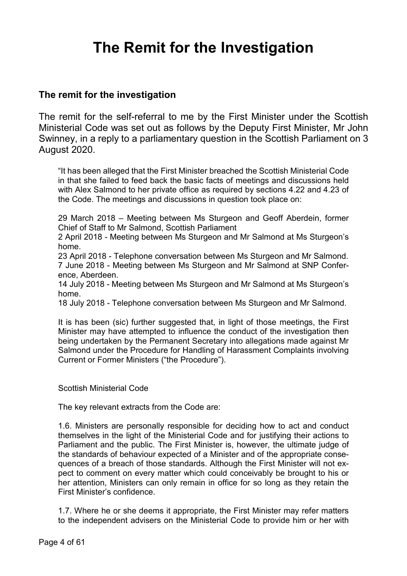# **The Remit for the Investigation**

#### **The remit for the investigation**

The remit for the self-referral to me by the First Minister under the Scottish Ministerial Code was set out as follows by the Deputy First Minister, Mr John Swinney, in a reply to a parliamentary question in the Scottish Parliament on 3 August 2020.

"It has been alleged that the First Minister breached the Scottish Ministerial Code in that she failed to feed back the basic facts of meetings and discussions held with Alex Salmond to her private office as required by sections 4.22 and 4.23 of the Code. The meetings and discussions in question took place on:

29 March 2018 – Meeting between Ms Sturgeon and Geoff Aberdein, former Chief of Staff to Mr Salmond, Scottish Parliament

2 April 2018 - Meeting between Ms Sturgeon and Mr Salmond at Ms Sturgeon's home.

23 April 2018 - Telephone conversation between Ms Sturgeon and Mr Salmond. 7 June 2018 - Meeting between Ms Sturgeon and Mr Salmond at SNP Conference, Aberdeen.

14 July 2018 - Meeting between Ms Sturgeon and Mr Salmond at Ms Sturgeon's home.

18 July 2018 - Telephone conversation between Ms Sturgeon and Mr Salmond.

It is has been (sic) further suggested that, in light of those meetings, the First Minister may have attempted to influence the conduct of the investigation then being undertaken by the Permanent Secretary into allegations made against Mr Salmond under the Procedure for Handling of Harassment Complaints involving Current or Former Ministers ("the Procedure").

Scottish Ministerial Code

The key relevant extracts from the Code are:

1.6. Ministers are personally responsible for deciding how to act and conduct themselves in the light of the Ministerial Code and for justifying their actions to Parliament and the public. The First Minister is, however, the ultimate judge of the standards of behaviour expected of a Minister and of the appropriate consequences of a breach of those standards. Although the First Minister will not expect to comment on every matter which could conceivably be brought to his or her attention, Ministers can only remain in office for so long as they retain the First Minister's confidence.

1.7. Where he or she deems it appropriate, the First Minister may refer matters to the independent advisers on the Ministerial Code to provide him or her with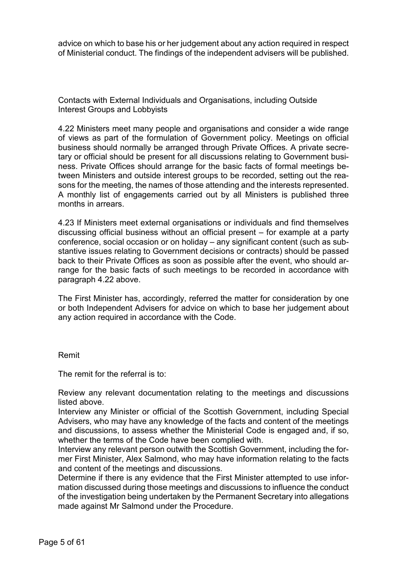advice on which to base his or her judgement about any action required in respect of Ministerial conduct. The findings of the independent advisers will be published.

Contacts with External Individuals and Organisations, including Outside Interest Groups and Lobbyists

4.22 Ministers meet many people and organisations and consider a wide range of views as part of the formulation of Government policy. Meetings on official business should normally be arranged through Private Offices. A private secretary or official should be present for all discussions relating to Government business. Private Offices should arrange for the basic facts of formal meetings between Ministers and outside interest groups to be recorded, setting out the reasons for the meeting, the names of those attending and the interests represented. A monthly list of engagements carried out by all Ministers is published three months in arrears.

4.23 If Ministers meet external organisations or individuals and find themselves discussing official business without an official present – for example at a party conference, social occasion or on holiday – any significant content (such as substantive issues relating to Government decisions or contracts) should be passed back to their Private Offices as soon as possible after the event, who should arrange for the basic facts of such meetings to be recorded in accordance with paragraph 4.22 above.

The First Minister has, accordingly, referred the matter for consideration by one or both Independent Advisers for advice on which to base her judgement about any action required in accordance with the Code.

#### Remit

The remit for the referral is to:

Review any relevant documentation relating to the meetings and discussions listed above.

Interview any Minister or official of the Scottish Government, including Special Advisers, who may have any knowledge of the facts and content of the meetings and discussions, to assess whether the Ministerial Code is engaged and, if so, whether the terms of the Code have been complied with.

Interview any relevant person outwith the Scottish Government, including the former First Minister, Alex Salmond, who may have information relating to the facts and content of the meetings and discussions.

Determine if there is any evidence that the First Minister attempted to use information discussed during those meetings and discussions to influence the conduct of the investigation being undertaken by the Permanent Secretary into allegations made against Mr Salmond under the Procedure.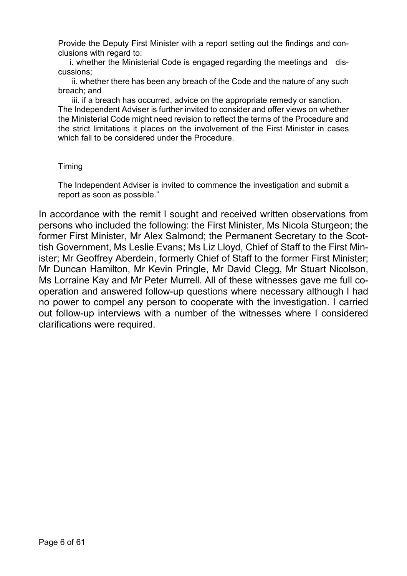Provide the Deputy First Minister with a report setting out the findings and conclusions with regard to:

i. whether the Ministerial Code is engaged regarding the meetings and discussions;

ii. whether there has been any breach of the Code and the nature of any such breach; and

iii. if a breach has occurred, advice on the appropriate remedy or sanction. The Independent Adviser is further invited to consider and offer views on whether the Ministerial Code might need revision to reflect the terms of the Procedure and the strict limitations it places on the involvement of the First Minister in cases which fall to be considered under the Procedure.

#### Timing

The Independent Adviser is invited to commence the investigation and submit a report as soon as possible."

In accordance with the remit I sought and received written observations from persons who included the following: the First Minister, Ms Nicola Sturgeon; the former First Minister, Mr Alex Salmond; the Permanent Secretary to the Scottish Government, Ms Leslie Evans; Ms Liz Lloyd, Chief of Staff to the First Minister; Mr Geoffrey Aberdein, formerly Chief of Staff to the former First Minister; Mr Duncan Hamilton, Mr Kevin Pringle, Mr David Clegg, Mr Stuart Nicolson, Ms Lorraine Kay and Mr Peter Murrell. All of these witnesses gave me full cooperation and answered follow-up questions where necessary although I had no power to compel any person to cooperate with the investigation. I carried out follow-up interviews with a number of the witnesses where I considered clarifications were required.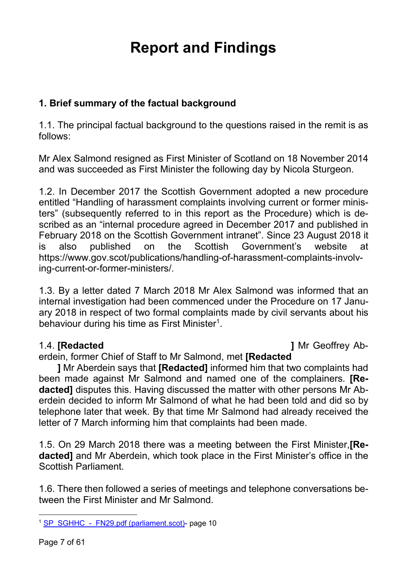# **Report and Findings**

#### **1. Brief summary of the factual background**

1.1. The principal factual background to the questions raised in the remit is as follows:

Mr Alex Salmond resigned as First Minister of Scotland on 18 November 2014 and was succeeded as First Minister the following day by Nicola Sturgeon.

1.2. In December 2017 the Scottish Government adopted a new procedure entitled "Handling of harassment complaints involving current or former ministers" (subsequently referred to in this report as the Procedure) which is described as an "internal procedure agreed in December 2017 and published in February 2018 on the Scottish Government intranet". Since 23 August 2018 it is also published on the Scottish Government's website at https://www.gov.scot/publications/handling-of-harassment-complaints-involving-current-or-former-ministers/.

1.3. By a letter dated 7 March 2018 Mr Alex Salmond was informed that an internal investigation had been commenced under the Procedure on 17 January 2018 in respect of two formal complaints made by civil servants about his behaviour during his time as First Minister<sup>1</sup>.

1.4. **[Redacted ]** Mr Geoffrey Ab-

erdein, former Chief of Staff to Mr Salmond, met **[Redacted** 

 **]** Mr Aberdein says that **[Redacted]** informed him that two complaints had been made against Mr Salmond and named one of the complainers. **[Redacted]** disputes this. Having discussed the matter with other persons Mr Aberdein decided to inform Mr Salmond of what he had been told and did so by telephone later that week. By that time Mr Salmond had already received the letter of 7 March informing him that complaints had been made.

1.5. On 29 March 2018 there was a meeting between the First Minister,**[Redacted]** and Mr Aberdein, which took place in the First Minister's office in the Scottish Parliament.

1.6. There then followed a series of meetings and telephone conversations between the First Minister and Mr Salmond.

<sup>&</sup>lt;sup>1</sup> SP SGHHC - FN29.pdf (parliament.scot)- page 10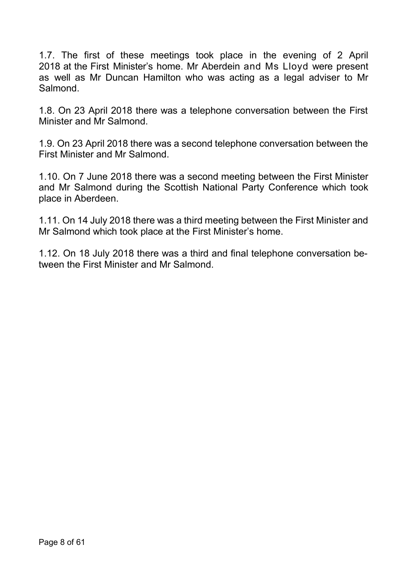1.7. The first of these meetings took place in the evening of 2 April 2018 at the First Minister's home. Mr Aberdein and Ms Lloyd were present as well as Mr Duncan Hamilton who was acting as a legal adviser to Mr Salmond.

1.8. On 23 April 2018 there was a telephone conversation between the First Minister and Mr Salmond.

1.9. On 23 April 2018 there was a second telephone conversation between the First Minister and Mr Salmond.

1.10. On 7 June 2018 there was a second meeting between the First Minister and Mr Salmond during the Scottish National Party Conference which took place in Aberdeen.

1.11. On 14 July 2018 there was a third meeting between the First Minister and Mr Salmond which took place at the First Minister's home.

1.12. On 18 July 2018 there was a third and final telephone conversation between the First Minister and Mr Salmond.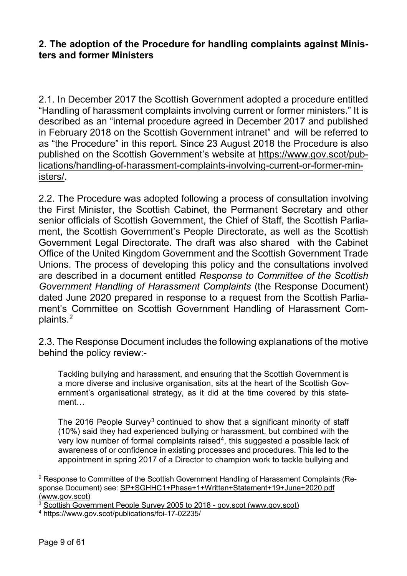#### **2. The adoption of the Procedure for handling complaints against Ministers and former Ministers**

2.1. In December 2017 the Scottish Government adopted a procedure entitled "Handling of harassment complaints involving current or former ministers." It is described as an "internal procedure agreed in December 2017 and published in February 2018 on the Scottish Government intranet" and will be referred to as "the Procedure" in this report. Since 23 August 2018 the Procedure is also published on the Scottish Government's website at https://www.gov.scot/publications/handling-of-harassment-complaints-involving-current-or-former-ministers/.

2.2. The Procedure was adopted following a process of consultation involving the First Minister, the Scottish Cabinet, the Permanent Secretary and other senior officials of Scottish Government, the Chief of Staff, the Scottish Parliament, the Scottish Government's People Directorate, as well as the Scottish Government Legal Directorate. The draft was also shared with the Cabinet Office of the United Kingdom Government and the Scottish Government Trade Unions. The process of developing this policy and the consultations involved are described in a document entitled *Response to Committee of the Scottish Government Handling of Harassment Complaints* (the Response Document) dated June 2020 prepared in response to a request from the Scottish Parliament's Committee on Scottish Government Handling of Harassment Complaints.2

2.3. The Response Document includes the following explanations of the motive behind the policy review:-

Tackling bullying and harassment, and ensuring that the Scottish Government is a more diverse and inclusive organisation, sits at the heart of the Scottish Government's organisational strategy, as it did at the time covered by this statement…

The 2016 People Survey<sup>3</sup> continued to show that a significant minority of staff (10%) said they had experienced bullying or harassment, but combined with the very low number of formal complaints raised<sup>4</sup>, this suggested a possible lack of awareness of or confidence in existing processes and procedures. This led to the appointment in spring 2017 of a Director to champion work to tackle bullying and

<sup>&</sup>lt;sup>2</sup> Response to Committee of the Scottish Government Handling of Harassment Complaints (Response Document) see: SP+SGHHC1+Phase+1+Written+Statement+19+June+2020.pdf (www.gov.scot) 3

<sup>&</sup>lt;sup>3</sup> Scottish Government People Survey 2005 to 2018 - gov.scot (www.gov.scot)

<sup>4</sup> https://www.gov.scot/publications/foi-17-02235/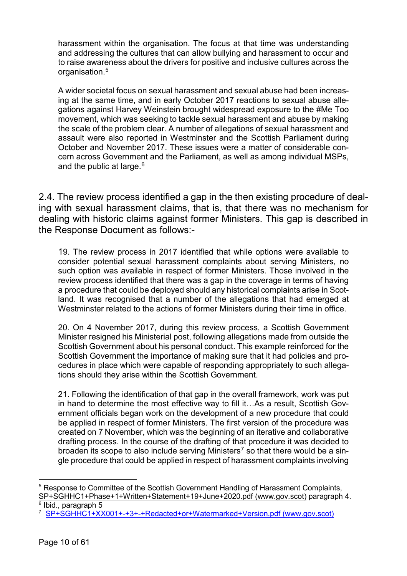harassment within the organisation. The focus at that time was understanding and addressing the cultures that can allow bullying and harassment to occur and to raise awareness about the drivers for positive and inclusive cultures across the organisation.<sup>5</sup>

A wider societal focus on sexual harassment and sexual abuse had been increasing at the same time, and in early October 2017 reactions to sexual abuse allegations against Harvey Weinstein brought widespread exposure to the #Me Too movement, which was seeking to tackle sexual harassment and abuse by making the scale of the problem clear. A number of allegations of sexual harassment and assault were also reported in Westminster and the Scottish Parliament during October and November 2017. These issues were a matter of considerable concern across Government and the Parliament, as well as among individual MSPs, and the public at large. $6\overline{ }$ 

2.4. The review process identified a gap in the then existing procedure of dealing with sexual harassment claims, that is, that there was no mechanism for dealing with historic claims against former Ministers. This gap is described in the Response Document as follows:-

19. The review process in 2017 identified that while options were available to consider potential sexual harassment complaints about serving Ministers, no such option was available in respect of former Ministers. Those involved in the review process identified that there was a gap in the coverage in terms of having a procedure that could be deployed should any historical complaints arise in Scotland. It was recognised that a number of the allegations that had emerged at Westminster related to the actions of former Ministers during their time in office.

20. On 4 November 2017, during this review process, a Scottish Government Minister resigned his Ministerial post, following allegations made from outside the Scottish Government about his personal conduct. This example reinforced for the Scottish Government the importance of making sure that it had policies and procedures in place which were capable of responding appropriately to such allegations should they arise within the Scottish Government.

21. Following the identification of that gap in the overall framework, work was put in hand to determine the most effective way to fill it…As a result, Scottish Government officials began work on the development of a new procedure that could be applied in respect of former Ministers. The first version of the procedure was created on 7 November, which was the beginning of an iterative and collaborative drafting process. In the course of the drafting of that procedure it was decided to broaden its scope to also include serving Ministers<sup>7</sup> so that there would be a single procedure that could be applied in respect of harassment complaints involving

<sup>5</sup> Response to Committee of the Scottish Government Handling of Harassment Complaints,

SP+SGHHC1+Phase+1+Written+Statement+19+June+2020.pdf (www.gov.scot) paragraph 4.  $6$  Ibid., paragraph 5

<sup>7</sup> SP+SGHHC1+XX001+-+3+-+Redacted+or+Watermarked+Version.pdf (www.gov.scot)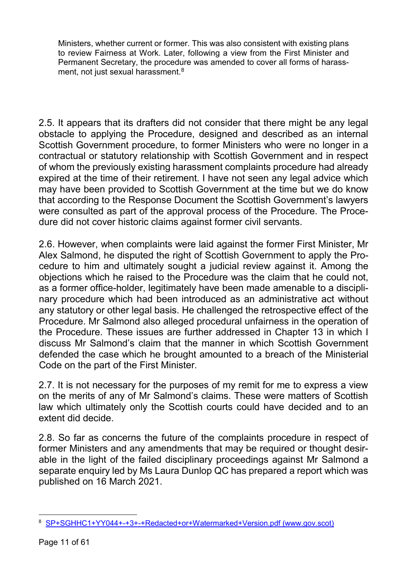Ministers, whether current or former. This was also consistent with existing plans to review Fairness at Work. Later, following a view from the First Minister and Permanent Secretary, the procedure was amended to cover all forms of harassment, not just sexual harassment.<sup>8</sup>

2.5. It appears that its drafters did not consider that there might be any legal obstacle to applying the Procedure, designed and described as an internal Scottish Government procedure, to former Ministers who were no longer in a contractual or statutory relationship with Scottish Government and in respect of whom the previously existing harassment complaints procedure had already expired at the time of their retirement. I have not seen any legal advice which may have been provided to Scottish Government at the time but we do know that according to the Response Document the Scottish Government's lawyers were consulted as part of the approval process of the Procedure. The Procedure did not cover historic claims against former civil servants.

2.6. However, when complaints were laid against the former First Minister, Mr Alex Salmond, he disputed the right of Scottish Government to apply the Procedure to him and ultimately sought a judicial review against it. Among the objections which he raised to the Procedure was the claim that he could not, as a former office-holder, legitimately have been made amenable to a disciplinary procedure which had been introduced as an administrative act without any statutory or other legal basis. He challenged the retrospective effect of the Procedure. Mr Salmond also alleged procedural unfairness in the operation of the Procedure. These issues are further addressed in Chapter 13 in which I discuss Mr Salmond's claim that the manner in which Scottish Government defended the case which he brought amounted to a breach of the Ministerial Code on the part of the First Minister.

2.7. It is not necessary for the purposes of my remit for me to express a view on the merits of any of Mr Salmond's claims. These were matters of Scottish law which ultimately only the Scottish courts could have decided and to an extent did decide.

2.8. So far as concerns the future of the complaints procedure in respect of former Ministers and any amendments that may be required or thought desirable in the light of the failed disciplinary proceedings against Mr Salmond a separate enquiry led by Ms Laura Dunlop QC has prepared a report which was published on 16 March 2021.

<sup>&</sup>lt;sup>8</sup> SP+SGHHC1+YY044+-+3+-+Redacted+or+Watermarked+Version.pdf (www.gov.scot)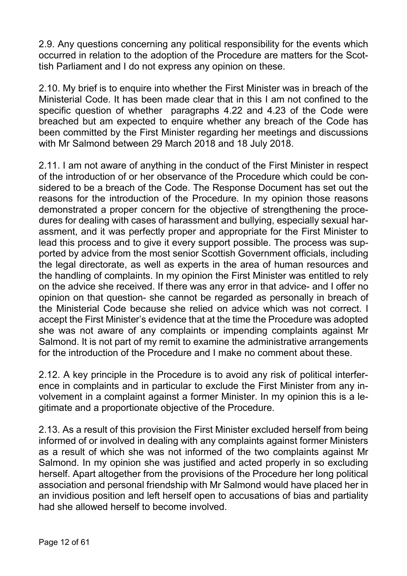2.9. Any questions concerning any political responsibility for the events which occurred in relation to the adoption of the Procedure are matters for the Scottish Parliament and I do not express any opinion on these.

2.10. My brief is to enquire into whether the First Minister was in breach of the Ministerial Code. It has been made clear that in this I am not confined to the specific question of whether paragraphs 4.22 and 4.23 of the Code were breached but am expected to enquire whether any breach of the Code has been committed by the First Minister regarding her meetings and discussions with Mr Salmond between 29 March 2018 and 18 July 2018.

2.11. I am not aware of anything in the conduct of the First Minister in respect of the introduction of or her observance of the Procedure which could be considered to be a breach of the Code. The Response Document has set out the reasons for the introduction of the Procedure. In my opinion those reasons demonstrated a proper concern for the objective of strengthening the procedures for dealing with cases of harassment and bullying, especially sexual harassment, and it was perfectly proper and appropriate for the First Minister to lead this process and to give it every support possible. The process was supported by advice from the most senior Scottish Government officials, including the legal directorate, as well as experts in the area of human resources and the handling of complaints. In my opinion the First Minister was entitled to rely on the advice she received. If there was any error in that advice- and I offer no opinion on that question- she cannot be regarded as personally in breach of the Ministerial Code because she relied on advice which was not correct. I accept the First Minister's evidence that at the time the Procedure was adopted she was not aware of any complaints or impending complaints against Mr Salmond. It is not part of my remit to examine the administrative arrangements for the introduction of the Procedure and I make no comment about these.

2.12. A key principle in the Procedure is to avoid any risk of political interference in complaints and in particular to exclude the First Minister from any involvement in a complaint against a former Minister. In my opinion this is a legitimate and a proportionate objective of the Procedure.

2.13. As a result of this provision the First Minister excluded herself from being informed of or involved in dealing with any complaints against former Ministers as a result of which she was not informed of the two complaints against Mr Salmond. In my opinion she was justified and acted properly in so excluding herself. Apart altogether from the provisions of the Procedure her long political association and personal friendship with Mr Salmond would have placed her in an invidious position and left herself open to accusations of bias and partiality had she allowed herself to become involved.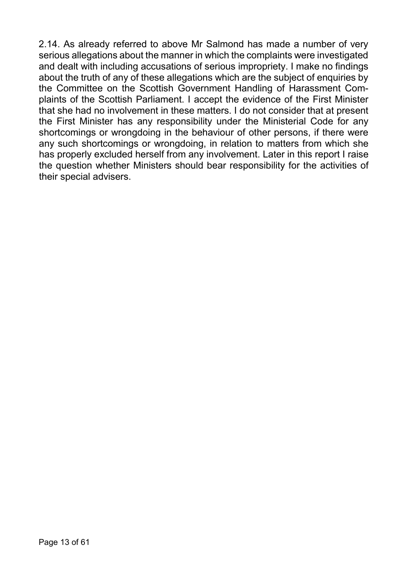2.14. As already referred to above Mr Salmond has made a number of very serious allegations about the manner in which the complaints were investigated and dealt with including accusations of serious impropriety. I make no findings about the truth of any of these allegations which are the subject of enquiries by the Committee on the Scottish Government Handling of Harassment Complaints of the Scottish Parliament. I accept the evidence of the First Minister that she had no involvement in these matters. I do not consider that at present the First Minister has any responsibility under the Ministerial Code for any shortcomings or wrongdoing in the behaviour of other persons, if there were any such shortcomings or wrongdoing, in relation to matters from which she has properly excluded herself from any involvement. Later in this report I raise the question whether Ministers should bear responsibility for the activities of their special advisers.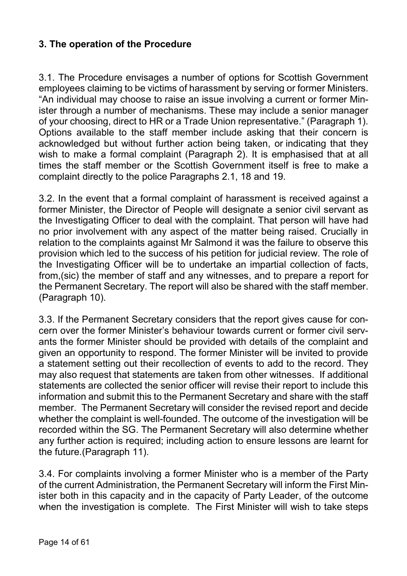# **3. The operation of the Procedure**

3.1. The Procedure envisages a number of options for Scottish Government employees claiming to be victims of harassment by serving or former Ministers. "An individual may choose to raise an issue involving a current or former Minister through a number of mechanisms. These may include a senior manager of your choosing, direct to HR or a Trade Union representative." (Paragraph 1). Options available to the staff member include asking that their concern is acknowledged but without further action being taken, or indicating that they wish to make a formal complaint (Paragraph 2). It is emphasised that at all times the staff member or the Scottish Government itself is free to make a complaint directly to the police Paragraphs 2.1, 18 and 19.

3.2. In the event that a formal complaint of harassment is received against a former Minister, the Director of People will designate a senior civil servant as the Investigating Officer to deal with the complaint. That person will have had no prior involvement with any aspect of the matter being raised. Crucially in relation to the complaints against Mr Salmond it was the failure to observe this provision which led to the success of his petition for judicial review. The role of the Investigating Officer will be to undertake an impartial collection of facts, from,(sic) the member of staff and any witnesses, and to prepare a report for the Permanent Secretary. The report will also be shared with the staff member. (Paragraph 10).

3.3. If the Permanent Secretary considers that the report gives cause for concern over the former Minister's behaviour towards current or former civil servants the former Minister should be provided with details of the complaint and given an opportunity to respond. The former Minister will be invited to provide a statement setting out their recollection of events to add to the record. They may also request that statements are taken from other witnesses. If additional statements are collected the senior officer will revise their report to include this information and submit this to the Permanent Secretary and share with the staff member. The Permanent Secretary will consider the revised report and decide whether the complaint is well-founded. The outcome of the investigation will be recorded within the SG. The Permanent Secretary will also determine whether any further action is required; including action to ensure lessons are learnt for the future.(Paragraph 11).

3.4. For complaints involving a former Minister who is a member of the Party of the current Administration, the Permanent Secretary will inform the First Minister both in this capacity and in the capacity of Party Leader, of the outcome when the investigation is complete. The First Minister will wish to take steps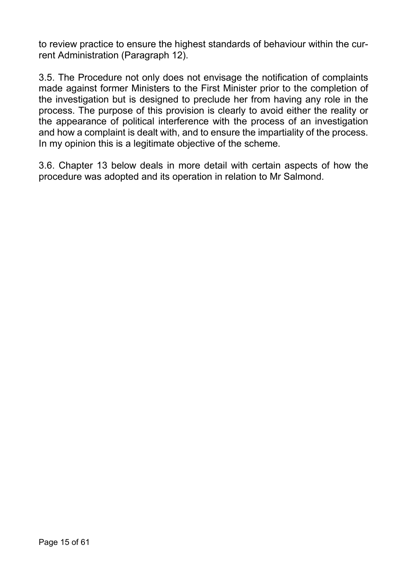to review practice to ensure the highest standards of behaviour within the current Administration (Paragraph 12).

3.5. The Procedure not only does not envisage the notification of complaints made against former Ministers to the First Minister prior to the completion of the investigation but is designed to preclude her from having any role in the process. The purpose of this provision is clearly to avoid either the reality or the appearance of political interference with the process of an investigation and how a complaint is dealt with, and to ensure the impartiality of the process. In my opinion this is a legitimate objective of the scheme.

3.6. Chapter 13 below deals in more detail with certain aspects of how the procedure was adopted and its operation in relation to Mr Salmond.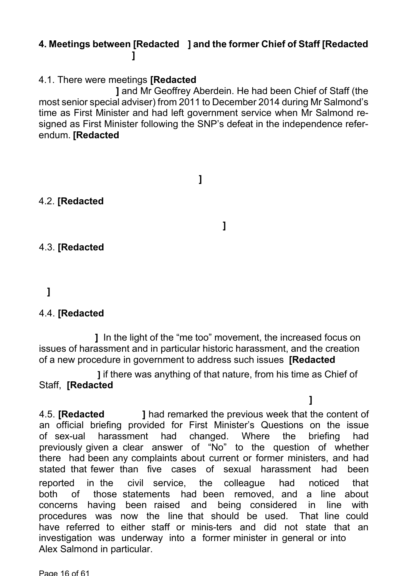# **4. Meetings between [Redacted ] and the former Chief of Staff [Redacted ]**

#### 4.1. There were meetings **[Redacted**

 **]** and Mr Geoffrey Aberdein. He had been Chief of Staff (the most senior special adviser) from 2011 to December 2014 during Mr Salmond's time as First Minister and had left government service when Mr Salmond resigned as First Minister following the SNP's defeat in the independence referendum. **[Redacted** 

**]**

#### 4.2. **[Redacted**

# **]**

#### 4.3. **[Redacted**

**]** 

#### 4.4. **[Redacted**

**]** In the light of the "me too" movement, the increased focus on issues of harassment and in particular historic harassment, and the creation of a new procedure in government to address such issues **[Redacted** 

**]** if there was anything of that nature, from his time as Chief of Staff, **[Redacted**

 **]** 

4.5. **[Redacted ]** had remarked the previous week that the content of an official briefing provided for First Minister's Questions on the issue of sex-ual harassment had changed. Where the briefing had previously given a clear answer of "No" to the question of whether there had been any complaints about current or former ministers, and had stated that fewer than five cases of sexual harassment had been reported in the civil service, the colleague had noticed that both of those statements had been removed, and a line about concerns having been raised and being considered in line with procedures was now the line that should be used. That line could have referred to either staff or minis-ters and did not state that an investigation was underway into a former minister in general or into Alex Salmond in particular.

Page 16 of 61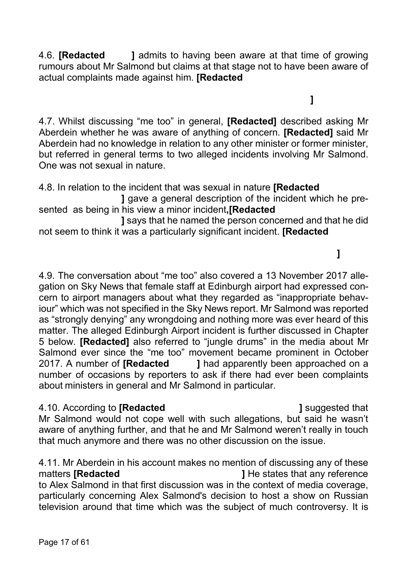4.6. **[Redacted ]** admits to having been aware at that time of growing rumours about Mr Salmond but claims at that stage not to have been aware of actual complaints made against him. **[Redacted** 

**]**

**]**

4.7. Whilst discussing "me too" in general, **[Redacted]** described asking Mr Aberdein whether he was aware of anything of concern. **[Redacted]** said Mr Aberdein had no knowledge in relation to any other minister or former minister, but referred in general terms to two alleged incidents involving Mr Salmond. One was not sexual in nature.

4.8. In relation to the incident that was sexual in nature **[Redacted**

 **]** gave a general description of the incident which he presented as being in his view a minor incident**,[Redacted**

 **]** says that he named the person concerned and that he did not seem to think it was a particularly significant incident. **[Redacted**

4.9. The conversation about "me too" also covered a 13 November 2017 allegation on Sky News that female staff at Edinburgh airport had expressed concern to airport managers about what they regarded as "inappropriate behaviour" which was not specified in the Sky News report. Mr Salmond was reported as "strongly denying" any wrongdoing and nothing more was ever heard of this matter. The alleged Edinburgh Airport incident is further discussed in Chapter 5 below. **[Redacted]** also referred to "jungle drums" in the media about Mr Salmond ever since the "me too" movement became prominent in October 2017. A number of **[Redacted ]** had apparently been approached on a number of occasions by reporters to ask if there had ever been complaints about ministers in general and Mr Salmond in particular.

4.10. According to **[Redacted ]** suggested that Mr Salmond would not cope well with such allegations, but said he wasn't aware of anything further, and that he and Mr Salmond weren't really in touch that much anymore and there was no other discussion on the issue.

4.11. Mr Aberdein in his account makes no mention of discussing any of these matters **[Redacted ]** He states that any reference to Alex Salmond in that first discussion was in the context of media coverage, particularly concerning Alex Salmond's decision to host a show on Russian television around that time which was the subject of much controversy. It is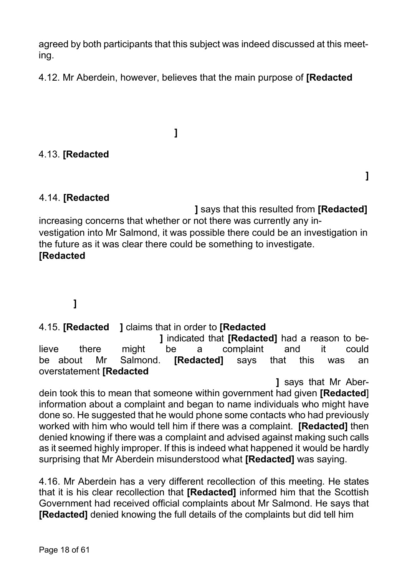agreed by both participants that this subject was indeed discussed at this meeting.

4.12. Mr Aberdein, however, believes that the main purpose of **[Redacted** 

**]**

# 4.13. **[Redacted**

**]**

# 4.14. **[Redacted**

**]** says that this resulted from **[Redacted]** increasing concerns that whether or not there was currently any investigation into Mr Salmond, it was possible there could be an investigation in the future as it was clear there could be something to investigate. **[Redacted**

 **]** 

4.15. **[Redacted ]** claims that in order to **[Redacted ]** indicated that **[Redacted]** had a reason to be-<br>be a complaint and it could lieve there might be a complaint and it could be about Mr Salmond. **[Redacted]** says that this was an overstatement **[Redacted** 

**]** says that Mr Aber-

dein took this to mean that someone within government had given **[Redacted**] information about a complaint and began to name individuals who might have done so. He suggested that he would phone some contacts who had previously worked with him who would tell him if there was a complaint. **[Redacted]** then denied knowing if there was a complaint and advised against making such calls as it seemed highly improper. If this is indeed what happened it would be hardly surprising that Mr Aberdein misunderstood what **[Redacted]** was saying.

4.16. Mr Aberdein has a very different recollection of this meeting. He states that it is his clear recollection that **[Redacted]** informed him that the Scottish Government had received official complaints about Mr Salmond. He says that **[Redacted]** denied knowing the full details of the complaints but did tell him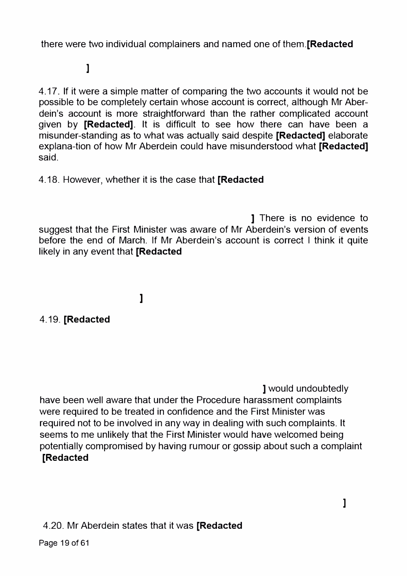there were two individual complainers and named one of **them.[Redacted** 

**]** 

4.17. If it were a simple matter of comparing the two accounts it would not be possible to be completely certain whose account is correct, although Mr Aberdein's account is more straightforward than the rather complicated account given by **[Redacted].** It is difficult to see how there can have been a misunder-standing as to what was actually said despite **[Redacted]** elaborate explana-tion of how Mr Aberdein could have misunderstood what **[Redacted]**  said.

4.18. However, whether it is the case that **[Redacted** 

] There is no evidence to suggest that the First Minister was aware of Mr Aberdein's version of events before the end of March. If Mr Aberdein's account is correct I think it quite likely in any event that **[Redacted** 

**]** 

#### 4. 19. **[Redacted**

] would undoubtedly have been well aware that under the Procedure harassment complaints were required to be treated in confidence and the First Minister was required not to be involved in any way in dealing with such complaints. It seems to me unlikely that the First Minister would have welcomed being potentially compromised by having rumour or gossip about such a complaint **[Redacted**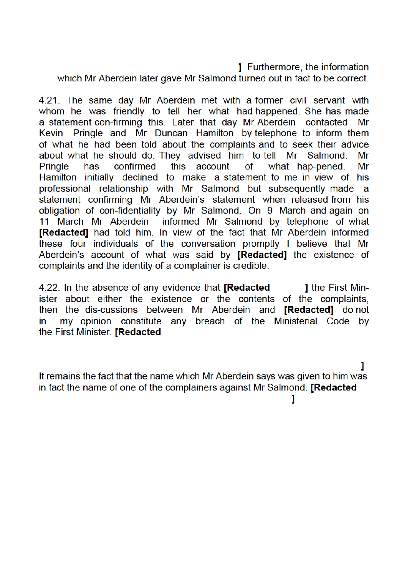#### 1 Furthermore, the information which Mr Aberdein later gave Mr Salmond turned out in fact to be correct.

4.21. The same day Mr Aberdein met with a former civil servant with whom he was friendly to tell her what had happened. She has made a statement con-firming this. Later that day Mr Aberdein contacted Mr Kevin Pringle and Mr Duncan Hamilton by telephone to inform them of what he had been told about the complaints and to seek their advice about what he should do. They advised him to tell Mr Salmond. Mr confirmed this account Pringle has **of** what hap-pened. Mr Hamilton initially declined to make a statement to me in view of his professional relationship with Mr Salmond but subsequently made <sub>a</sub> statement confirming Mr Aberdein's statement when released from his obligation of con-fidentiality by Mr Salmond. On 9 March and again on informed Mr Salmond by telephone of what 11 March Mr Aberdein **[Redacted]** had told him. In view of the fact that Mr Aberdein informed these four individuals of the conversation promptly I believe that Mr Aberdein's account of what was said by [Redacted] the existence of complaints and the identity of a complainer is credible.

4.22. In the absence of any evidence that **[Redacted**] 1 the First Minister about either the existence or the contents of the complaints, then the dis-cussions between Mr Aberdein and **[Redacted]** do not my opinion constitute any breach of the Ministerial Code by in the First Minister. [Redacted

It remains the fact that the name which Mr Aberdein says was given to him was in fact the name of one of the complainers against Mr Salmond. **[Redacted** 

ı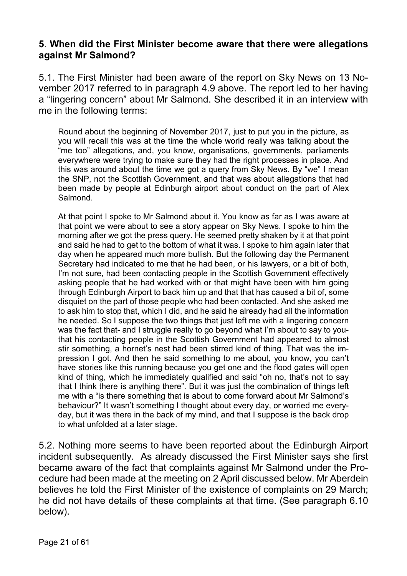#### **5**. **When did the First Minister become aware that there were allegations against Mr Salmond?**

5.1. The First Minister had been aware of the report on Sky News on 13 November 2017 referred to in paragraph 4.9 above. The report led to her having a "lingering concern" about Mr Salmond. She described it in an interview with me in the following terms:

Round about the beginning of November 2017, just to put you in the picture, as you will recall this was at the time the whole world really was talking about the "me too" allegations, and, you know, organisations, governments, parliaments everywhere were trying to make sure they had the right processes in place. And this was around about the time we got a query from Sky News. By "we" I mean the SNP, not the Scottish Government, and that was about allegations that had been made by people at Edinburgh airport about conduct on the part of Alex Salmond.

At that point I spoke to Mr Salmond about it. You know as far as I was aware at that point we were about to see a story appear on Sky News. I spoke to him the morning after we got the press query. He seemed pretty shaken by it at that point and said he had to get to the bottom of what it was. I spoke to him again later that day when he appeared much more bullish. But the following day the Permanent Secretary had indicated to me that he had been, or his lawyers, or a bit of both, I'm not sure, had been contacting people in the Scottish Government effectively asking people that he had worked with or that might have been with him going through Edinburgh Airport to back him up and that that has caused a bit of, some disquiet on the part of those people who had been contacted. And she asked me to ask him to stop that, which I did, and he said he already had all the information he needed. So I suppose the two things that just left me with a lingering concern was the fact that- and I struggle really to go beyond what I'm about to say to youthat his contacting people in the Scottish Government had appeared to almost stir something, a hornet's nest had been stirred kind of thing. That was the impression I got. And then he said something to me about, you know, you can't have stories like this running because you get one and the flood gates will open kind of thing, which he immediately qualified and said "oh no, that's not to say that I think there is anything there". But it was just the combination of things left me with a "is there something that is about to come forward about Mr Salmond's behaviour?" It wasn't something I thought about every day, or worried me everyday, but it was there in the back of my mind, and that I suppose is the back drop to what unfolded at a later stage.

5.2. Nothing more seems to have been reported about the Edinburgh Airport incident subsequently. As already discussed the First Minister says she first became aware of the fact that complaints against Mr Salmond under the Procedure had been made at the meeting on 2 April discussed below. Mr Aberdein believes he told the First Minister of the existence of complaints on 29 March; he did not have details of these complaints at that time. (See paragraph 6.10 below).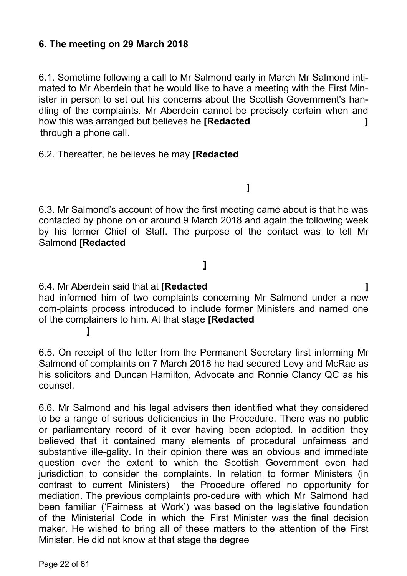#### **6. The meeting on 29 March 2018**

6.1. Sometime following a call to Mr Salmond early in March Mr Salmond intimated to Mr Aberdein that he would like to have a meeting with the First Minister in person to set out his concerns about the Scottish Government's handling of the complaints. Mr Aberdein cannot be precisely certain when and how this was arranged but believes he **[Redacted ]** through a phone call.

6.2. Thereafter, he believes he may **[Redacted** 

6.3. Mr Salmond's account of how the first meeting came about is that he was contacted by phone on or around 9 March 2018 and again the following week by his former Chief of Staff. The purpose of the contact was to tell Mr Salmond **[Redacted** 

**]** 

# **]**

6.4. Mr Aberdein said that at **[Redacted ]** had informed him of two complaints concerning Mr Salmond under a new com-plaints process introduced to include former Ministers and named one of the complainers to him. At that stage **[Redacted** 

**]**

6.5. On receipt of the letter from the Permanent Secretary first informing Mr Salmond of complaints on 7 March 2018 he had secured Levy and McRae as his solicitors and Duncan Hamilton, Advocate and Ronnie Clancy QC as his counsel.

6.6. Mr Salmond and his legal advisers then identified what they considered to be a range of serious deficiencies in the Procedure. There was no public or parliamentary record of it ever having been adopted. In addition they believed that it contained many elements of procedural unfairness and substantive ille-gality. In their opinion there was an obvious and immediate question over the extent to which the Scottish Government even had jurisdiction to consider the complaints. In relation to former Ministers (in contrast to current Ministers) the Procedure offered no opportunity for mediation. The previous complaints pro-cedure with which Mr Salmond had been familiar ('Fairness at Work') was based on the legislative foundation of the Ministerial Code in which the First Minister was the final decision maker. He wished to bring all of these matters to the attention of the First Minister. He did not know at that stage the degree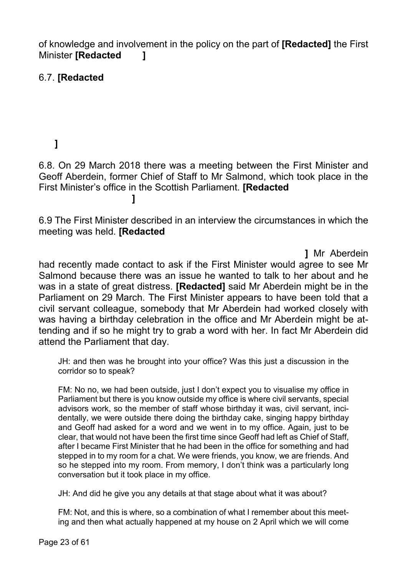of knowledge and involvement in the policy on the part of **[Redacted]** the First Minister **[Redacted ]** 

#### 6.7. **[Redacted**

# **]**

6.8. On 29 March 2018 there was a meeting between the First Minister and Geoff Aberdein, former Chief of Staff to Mr Salmond, which took place in the First Minister's office in the Scottish Parliament. **[Redacted**

**]**

6.9 The First Minister described in an interview the circumstances in which the meeting was held. **[Redacted**

 **]** Mr Aberdein

had recently made contact to ask if the First Minister would agree to see Mr Salmond because there was an issue he wanted to talk to her about and he was in a state of great distress. **[Redacted]** said Mr Aberdein might be in the Parliament on 29 March. The First Minister appears to have been told that a civil servant colleague, somebody that Mr Aberdein had worked closely with was having a birthday celebration in the office and Mr Aberdein might be attending and if so he might try to grab a word with her. In fact Mr Aberdein did attend the Parliament that day.

JH: and then was he brought into your office? Was this just a discussion in the corridor so to speak?

FM: No no, we had been outside, just I don't expect you to visualise my office in Parliament but there is you know outside my office is where civil servants, special advisors work, so the member of staff whose birthday it was, civil servant, incidentally, we were outside there doing the birthday cake, singing happy birthday and Geoff had asked for a word and we went in to my office. Again, just to be clear, that would not have been the first time since Geoff had left as Chief of Staff, after I became First Minister that he had been in the office for something and had stepped in to my room for a chat. We were friends, you know, we are friends. And so he stepped into my room. From memory, I don't think was a particularly long conversation but it took place in my office.

JH: And did he give you any details at that stage about what it was about?

FM: Not, and this is where, so a combination of what I remember about this meeting and then what actually happened at my house on 2 April which we will come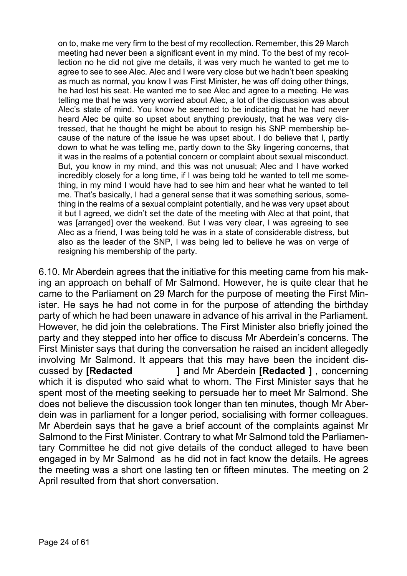on to, make me very firm to the best of my recollection. Remember, this 29 March meeting had never been a significant event in my mind. To the best of my recollection no he did not give me details, it was very much he wanted to get me to agree to see to see Alec. Alec and I were very close but we hadn't been speaking as much as normal, you know I was First Minister, he was off doing other things, he had lost his seat. He wanted me to see Alec and agree to a meeting. He was telling me that he was very worried about Alec, a lot of the discussion was about Alec's state of mind. You know he seemed to be indicating that he had never heard Alec be quite so upset about anything previously, that he was very distressed, that he thought he might be about to resign his SNP membership because of the nature of the issue he was upset about. I do believe that I, partly down to what he was telling me, partly down to the Sky lingering concerns, that it was in the realms of a potential concern or complaint about sexual misconduct. But, you know in my mind, and this was not unusual; Alec and I have worked incredibly closely for a long time, if I was being told he wanted to tell me something, in my mind I would have had to see him and hear what he wanted to tell me. That's basically, I had a general sense that it was something serious, something in the realms of a sexual complaint potentially, and he was very upset about it but I agreed, we didn't set the date of the meeting with Alec at that point, that was [arranged] over the weekend. But I was very clear, I was agreeing to see Alec as a friend, I was being told he was in a state of considerable distress, but also as the leader of the SNP, I was being led to believe he was on verge of resigning his membership of the party.

6.10. Mr Aberdein agrees that the initiative for this meeting came from his making an approach on behalf of Mr Salmond. However, he is quite clear that he came to the Parliament on 29 March for the purpose of meeting the First Minister. He says he had not come in for the purpose of attending the birthday party of which he had been unaware in advance of his arrival in the Parliament. However, he did join the celebrations. The First Minister also briefly joined the party and they stepped into her office to discuss Mr Aberdein's concerns. The First Minister says that during the conversation he raised an incident allegedly involving Mr Salmond. It appears that this may have been the incident discussed by **[Redacted ]** and Mr Aberdein **[Redacted ]** , concerning which it is disputed who said what to whom. The First Minister says that he spent most of the meeting seeking to persuade her to meet Mr Salmond. She does not believe the discussion took longer than ten minutes, though Mr Aberdein was in parliament for a longer period, socialising with former colleagues. Mr Aberdein says that he gave a brief account of the complaints against Mr Salmond to the First Minister. Contrary to what Mr Salmond told the Parliamentary Committee he did not give details of the conduct alleged to have been engaged in by Mr Salmond as he did not in fact know the details. He agrees the meeting was a short one lasting ten or fifteen minutes. The meeting on 2 April resulted from that short conversation.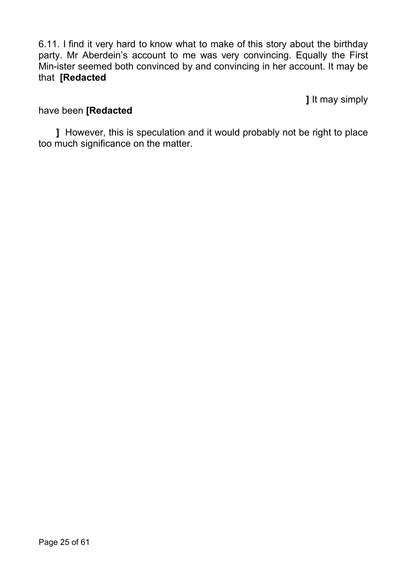6.11. I find it very hard to know what to make of this story about the birthday party. Mr Aberdein's account to me was very convincing. Equally the First Min-ister seemed both convinced by and convincing in her account. It may be that **[Redacted**

 **]** It may simply

#### have been **[Redacted**

 **]** However, this is speculation and it would probably not be right to place too much significance on the matter.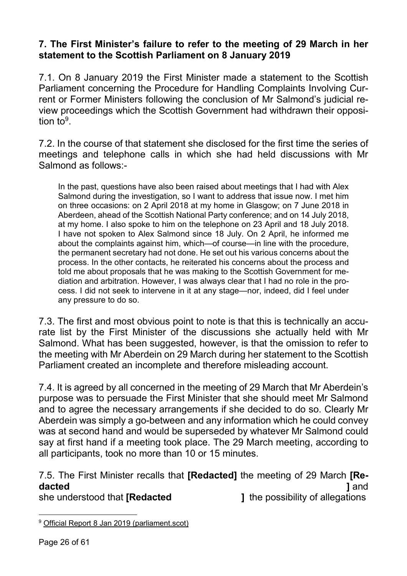#### **7. The First Minister's failure to refer to the meeting of 29 March in her statement to the Scottish Parliament on 8 January 2019**

7.1. On 8 January 2019 the First Minister made a statement to the Scottish Parliament concerning the Procedure for Handling Complaints Involving Current or Former Ministers following the conclusion of Mr Salmond's judicial review proceedings which the Scottish Government had withdrawn their opposition to<sup>9</sup>.

7.2. In the course of that statement she disclosed for the first time the series of meetings and telephone calls in which she had held discussions with Mr Salmond as follows:-

In the past, questions have also been raised about meetings that I had with Alex Salmond during the investigation, so I want to address that issue now. I met him on three occasions: on 2 April 2018 at my home in Glasgow; on 7 June 2018 in Aberdeen, ahead of the Scottish National Party conference; and on 14 July 2018, at my home. I also spoke to him on the telephone on 23 April and 18 July 2018. I have not spoken to Alex Salmond since 18 July. On 2 April, he informed me about the complaints against him, which—of course—in line with the procedure, the permanent secretary had not done. He set out his various concerns about the process. In the other contacts, he reiterated his concerns about the process and told me about proposals that he was making to the Scottish Government for mediation and arbitration. However, I was always clear that I had no role in the process. I did not seek to intervene in it at any stage—nor, indeed, did I feel under any pressure to do so.

7.3. The first and most obvious point to note is that this is technically an accurate list by the First Minister of the discussions she actually held with Mr Salmond. What has been suggested, however, is that the omission to refer to the meeting with Mr Aberdein on 29 March during her statement to the Scottish Parliament created an incomplete and therefore misleading account.

7.4. It is agreed by all concerned in the meeting of 29 March that Mr Aberdein's purpose was to persuade the First Minister that she should meet Mr Salmond and to agree the necessary arrangements if she decided to do so. Clearly Mr Aberdein was simply a go-between and any information which he could convey was at second hand and would be superseded by whatever Mr Salmond could say at first hand if a meeting took place. The 29 March meeting, according to all participants, took no more than 10 or 15 minutes.

she understood that **[Redacted ]** the possibility of allegations

<sup>7.5.</sup> The First Minister recalls that **[Redacted]** the meeting of 29 March **[Redacted ]** and

<sup>9</sup> Official Report 8 Jan 2019 (parliament.scot)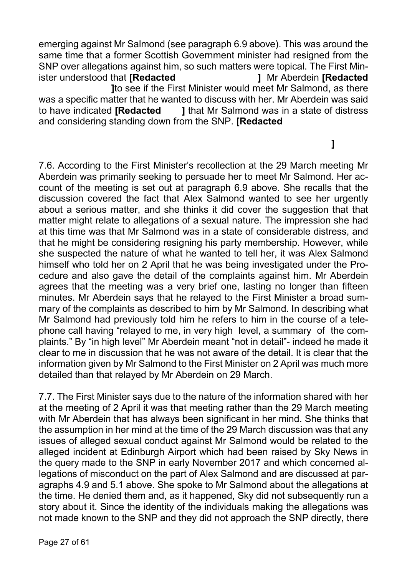emerging against Mr Salmond (see paragraph 6.9 above). This was around the same time that a former Scottish Government minister had resigned from the SNP over allegations against him, so such matters were topical. The First Minister understood that **[Redacted ]** Mr Aberdein **[Redacted ]**to see if the First Minister would meet Mr Salmond, as there was a specific matter that he wanted to discuss with her. Mr Aberdein was said to have indicated **[Redacted ]** that Mr Salmond was in a state of distress and considering standing down from the SNP. **[Redacted**

7.6. According to the First Minister's recollection at the 29 March meeting Mr Aberdein was primarily seeking to persuade her to meet Mr Salmond. Her account of the meeting is set out at paragraph 6.9 above. She recalls that the discussion covered the fact that Alex Salmond wanted to see her urgently about a serious matter, and she thinks it did cover the suggestion that that matter might relate to allegations of a sexual nature. The impression she had at this time was that Mr Salmond was in a state of considerable distress, and that he might be considering resigning his party membership. However, while she suspected the nature of what he wanted to tell her, it was Alex Salmond himself who told her on 2 April that he was being investigated under the Procedure and also gave the detail of the complaints against him. Mr Aberdein agrees that the meeting was a very brief one, lasting no longer than fifteen minutes. Mr Aberdein says that he relayed to the First Minister a broad summary of the complaints as described to him by Mr Salmond. In describing what Mr Salmond had previously told him he refers to him in the course of a telephone call having "relayed to me, in very high level, a summary of the complaints." By "in high level" Mr Aberdein meant "not in detail"- indeed he made it clear to me in discussion that he was not aware of the detail. It is clear that the information given by Mr Salmond to the First Minister on 2 April was much more detailed than that relayed by Mr Aberdein on 29 March.

7.7. The First Minister says due to the nature of the information shared with her at the meeting of 2 April it was that meeting rather than the 29 March meeting with Mr Aberdein that has always been significant in her mind. She thinks that the assumption in her mind at the time of the 29 March discussion was that any issues of alleged sexual conduct against Mr Salmond would be related to the alleged incident at Edinburgh Airport which had been raised by Sky News in the query made to the SNP in early November 2017 and which concerned allegations of misconduct on the part of Alex Salmond and are discussed at paragraphs 4.9 and 5.1 above. She spoke to Mr Salmond about the allegations at the time. He denied them and, as it happened, Sky did not subsequently run a story about it. Since the identity of the individuals making the allegations was not made known to the SNP and they did not approach the SNP directly, there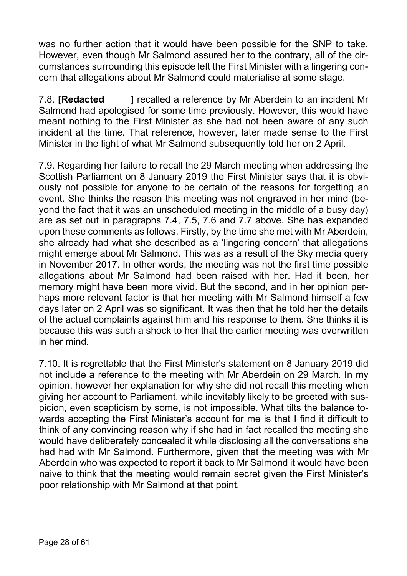was no further action that it would have been possible for the SNP to take. However, even though Mr Salmond assured her to the contrary, all of the circumstances surrounding this episode left the First Minister with a lingering concern that allegations about Mr Salmond could materialise at some stage.

7.8. **[Redacted ]** recalled a reference by Mr Aberdein to an incident Mr Salmond had apologised for some time previously. However, this would have meant nothing to the First Minister as she had not been aware of any such incident at the time. That reference, however, later made sense to the First Minister in the light of what Mr Salmond subsequently told her on 2 April.

7.9. Regarding her failure to recall the 29 March meeting when addressing the Scottish Parliament on 8 January 2019 the First Minister says that it is obviously not possible for anyone to be certain of the reasons for forgetting an event. She thinks the reason this meeting was not engraved in her mind (beyond the fact that it was an unscheduled meeting in the middle of a busy day) are as set out in paragraphs 7.4, 7.5, 7.6 and 7.7 above. She has expanded upon these comments as follows. Firstly, by the time she met with Mr Aberdein, she already had what she described as a 'lingering concern' that allegations might emerge about Mr Salmond. This was as a result of the Sky media query in November 2017. In other words, the meeting was not the first time possible allegations about Mr Salmond had been raised with her. Had it been, her memory might have been more vivid. But the second, and in her opinion perhaps more relevant factor is that her meeting with Mr Salmond himself a few days later on 2 April was so significant. It was then that he told her the details of the actual complaints against him and his response to them. She thinks it is because this was such a shock to her that the earlier meeting was overwritten in her mind.

7.10. It is regrettable that the First Minister's statement on 8 January 2019 did not include a reference to the meeting with Mr Aberdein on 29 March. In my opinion, however her explanation for why she did not recall this meeting when giving her account to Parliament, while inevitably likely to be greeted with suspicion, even scepticism by some, is not impossible. What tilts the balance towards accepting the First Minister's account for me is that I find it difficult to think of any convincing reason why if she had in fact recalled the meeting she would have deliberately concealed it while disclosing all the conversations she had had with Mr Salmond. Furthermore, given that the meeting was with Mr Aberdein who was expected to report it back to Mr Salmond it would have been naive to think that the meeting would remain secret given the First Minister's poor relationship with Mr Salmond at that point.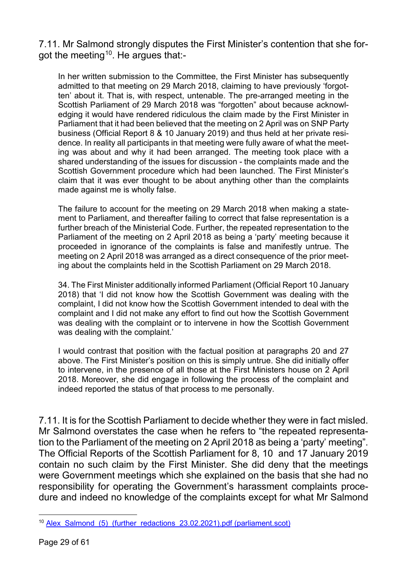7.11. Mr Salmond strongly disputes the First Minister's contention that she forgot the meeting<sup>10</sup>. He argues that:-

In her written submission to the Committee, the First Minister has subsequently admitted to that meeting on 29 March 2018, claiming to have previously 'forgotten' about it. That is, with respect, untenable. The pre-arranged meeting in the Scottish Parliament of 29 March 2018 was "forgotten" about because acknowledging it would have rendered ridiculous the claim made by the First Minister in Parliament that it had been believed that the meeting on 2 April was on SNP Party business (Official Report 8 & 10 January 2019) and thus held at her private residence. In reality all participants in that meeting were fully aware of what the meeting was about and why it had been arranged. The meeting took place with a shared understanding of the issues for discussion - the complaints made and the Scottish Government procedure which had been launched. The First Minister's claim that it was ever thought to be about anything other than the complaints made against me is wholly false.

The failure to account for the meeting on 29 March 2018 when making a statement to Parliament, and thereafter failing to correct that false representation is a further breach of the Ministerial Code. Further, the repeated representation to the Parliament of the meeting on 2 April 2018 as being a 'party' meeting because it proceeded in ignorance of the complaints is false and manifestly untrue. The meeting on 2 April 2018 was arranged as a direct consequence of the prior meeting about the complaints held in the Scottish Parliament on 29 March 2018.

34. The First Minister additionally informed Parliament (Official Report 10 January 2018) that 'I did not know how the Scottish Government was dealing with the complaint, I did not know how the Scottish Government intended to deal with the complaint and I did not make any effort to find out how the Scottish Government was dealing with the complaint or to intervene in how the Scottish Government was dealing with the complaint.'

I would contrast that position with the factual position at paragraphs 20 and 27 above. The First Minister's position on this is simply untrue. She did initially offer to intervene, in the presence of all those at the First Ministers house on 2 April 2018. Moreover, she did engage in following the process of the complaint and indeed reported the status of that process to me personally.

7.11. It is for the Scottish Parliament to decide whether they were in fact misled. Mr Salmond overstates the case when he refers to "the repeated representation to the Parliament of the meeting on 2 April 2018 as being a 'party' meeting". The Official Reports of the Scottish Parliament for 8, 10 and 17 January 2019 contain no such claim by the First Minister. She did deny that the meetings were Government meetings which she explained on the basis that she had no responsibility for operating the Government's harassment complaints procedure and indeed no knowledge of the complaints except for what Mr Salmond

<sup>10</sup> Alex Salmond (5) (further redactions 23.02.2021).pdf (parliament.scot)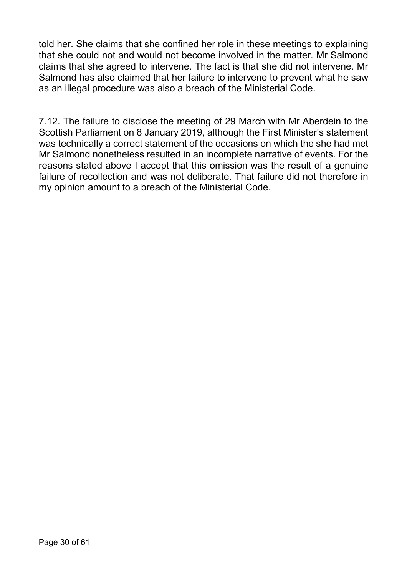told her. She claims that she confined her role in these meetings to explaining that she could not and would not become involved in the matter. Mr Salmond claims that she agreed to intervene. The fact is that she did not intervene. Mr Salmond has also claimed that her failure to intervene to prevent what he saw as an illegal procedure was also a breach of the Ministerial Code.

7.12. The failure to disclose the meeting of 29 March with Mr Aberdein to the Scottish Parliament on 8 January 2019, although the First Minister's statement was technically a correct statement of the occasions on which the she had met Mr Salmond nonetheless resulted in an incomplete narrative of events. For the reasons stated above I accept that this omission was the result of a genuine failure of recollection and was not deliberate. That failure did not therefore in my opinion amount to a breach of the Ministerial Code.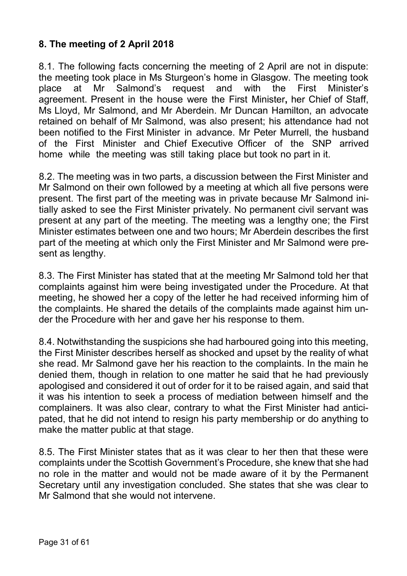# **8. The meeting of 2 April 2018**

8.1. The following facts concerning the meeting of 2 April are not in dispute: the meeting took place in Ms Sturgeon's home in Glasgow. The meeting took place at Mr Salmond's request and with the First Minister's agreement. Present in the house were the First Minister**,** her Chief of Staff, Ms Lloyd, Mr Salmond, and Mr Aberdein. Mr Duncan Hamilton, an advocate retained on behalf of Mr Salmond, was also present; his attendance had not been notified to the First Minister in advance. Mr Peter Murrell, the husband of the First Minister and Chief Executive Officer of the SNP arrived home while the meeting was still taking place but took no part in it.

8.2. The meeting was in two parts, a discussion between the First Minister and Mr Salmond on their own followed by a meeting at which all five persons were present. The first part of the meeting was in private because Mr Salmond initially asked to see the First Minister privately. No permanent civil servant was present at any part of the meeting. The meeting was a lengthy one; the First Minister estimates between one and two hours; Mr Aberdein describes the first part of the meeting at which only the First Minister and Mr Salmond were present as lengthy.

8.3. The First Minister has stated that at the meeting Mr Salmond told her that complaints against him were being investigated under the Procedure. At that meeting, he showed her a copy of the letter he had received informing him of the complaints. He shared the details of the complaints made against him under the Procedure with her and gave her his response to them.

8.4. Notwithstanding the suspicions she had harboured going into this meeting, the First Minister describes herself as shocked and upset by the reality of what she read. Mr Salmond gave her his reaction to the complaints. In the main he denied them, though in relation to one matter he said that he had previously apologised and considered it out of order for it to be raised again, and said that it was his intention to seek a process of mediation between himself and the complainers. It was also clear, contrary to what the First Minister had anticipated, that he did not intend to resign his party membership or do anything to make the matter public at that stage.

8.5. The First Minister states that as it was clear to her then that these were complaints under the Scottish Government's Procedure, she knew that she had no role in the matter and would not be made aware of it by the Permanent Secretary until any investigation concluded. She states that she was clear to Mr Salmond that she would not intervene.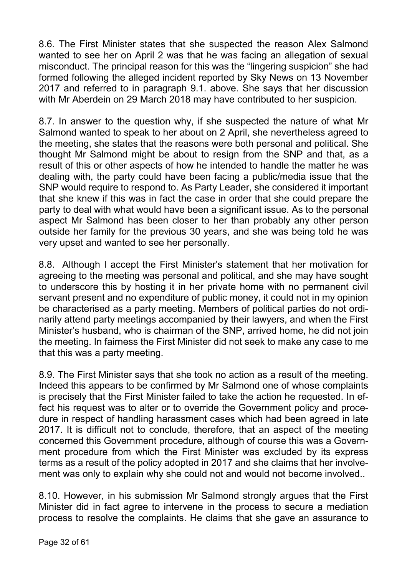8.6. The First Minister states that she suspected the reason Alex Salmond wanted to see her on April 2 was that he was facing an allegation of sexual misconduct. The principal reason for this was the "lingering suspicion" she had formed following the alleged incident reported by Sky News on 13 November 2017 and referred to in paragraph 9.1. above. She says that her discussion with Mr Aberdein on 29 March 2018 may have contributed to her suspicion.

8.7. In answer to the question why, if she suspected the nature of what Mr Salmond wanted to speak to her about on 2 April, she nevertheless agreed to the meeting, she states that the reasons were both personal and political. She thought Mr Salmond might be about to resign from the SNP and that, as a result of this or other aspects of how he intended to handle the matter he was dealing with, the party could have been facing a public/media issue that the SNP would require to respond to. As Party Leader, she considered it important that she knew if this was in fact the case in order that she could prepare the party to deal with what would have been a significant issue. As to the personal aspect Mr Salmond has been closer to her than probably any other person outside her family for the previous 30 years, and she was being told he was very upset and wanted to see her personally.

8.8. Although I accept the First Minister's statement that her motivation for agreeing to the meeting was personal and political, and she may have sought to underscore this by hosting it in her private home with no permanent civil servant present and no expenditure of public money, it could not in my opinion be characterised as a party meeting. Members of political parties do not ordinarily attend party meetings accompanied by their lawyers, and when the First Minister's husband, who is chairman of the SNP, arrived home, he did not join the meeting. In fairness the First Minister did not seek to make any case to me that this was a party meeting.

8.9. The First Minister says that she took no action as a result of the meeting. Indeed this appears to be confirmed by Mr Salmond one of whose complaints is precisely that the First Minister failed to take the action he requested. In effect his request was to alter or to override the Government policy and procedure in respect of handling harassment cases which had been agreed in late 2017. It is difficult not to conclude, therefore, that an aspect of the meeting concerned this Government procedure, although of course this was a Government procedure from which the First Minister was excluded by its express terms as a result of the policy adopted in 2017 and she claims that her involvement was only to explain why she could not and would not become involved..

8.10. However, in his submission Mr Salmond strongly argues that the First Minister did in fact agree to intervene in the process to secure a mediation process to resolve the complaints. He claims that she gave an assurance to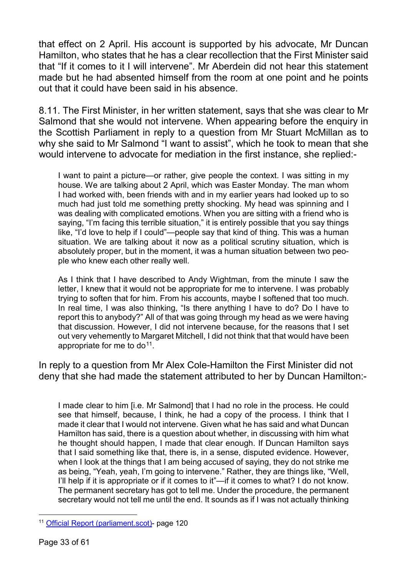that effect on 2 April. His account is supported by his advocate, Mr Duncan Hamilton, who states that he has a clear recollection that the First Minister said that "If it comes to it I will intervene". Mr Aberdein did not hear this statement made but he had absented himself from the room at one point and he points out that it could have been said in his absence.

8.11. The First Minister, in her written statement, says that she was clear to Mr Salmond that she would not intervene. When appearing before the enquiry in the Scottish Parliament in reply to a question from Mr Stuart McMillan as to why she said to Mr Salmond "I want to assist", which he took to mean that she would intervene to advocate for mediation in the first instance, she replied:-

I want to paint a picture—or rather, give people the context. I was sitting in my house. We are talking about 2 April, which was Easter Monday. The man whom I had worked with, been friends with and in my earlier years had looked up to so much had just told me something pretty shocking. My head was spinning and I was dealing with complicated emotions. When you are sitting with a friend who is saying, "I'm facing this terrible situation," it is entirely possible that you say things like, "I'd love to help if I could"—people say that kind of thing. This was a human situation. We are talking about it now as a political scrutiny situation, which is absolutely proper, but in the moment, it was a human situation between two people who knew each other really well.

As I think that I have described to Andy Wightman, from the minute I saw the letter, I knew that it would not be appropriate for me to intervene. I was probably trying to soften that for him. From his accounts, maybe I softened that too much. In real time, I was also thinking, "Is there anything I have to do? Do I have to report this to anybody?" All of that was going through my head as we were having that discussion. However, I did not intervene because, for the reasons that I set out very vehemently to Margaret Mitchell, I did not think that that would have been appropriate for me to do<sup>11</sup>.

In reply to a question from Mr Alex Cole-Hamilton the First Minister did not deny that she had made the statement attributed to her by Duncan Hamilton:-

I made clear to him [i.e. Mr Salmond] that I had no role in the process. He could see that himself, because, I think, he had a copy of the process. I think that I made it clear that I would not intervene. Given what he has said and what Duncan Hamilton has said, there is a question about whether, in discussing with him what he thought should happen, I made that clear enough. If Duncan Hamilton says that I said something like that, there is, in a sense, disputed evidence. However, when I look at the things that I am being accused of saying, they do not strike me as being, "Yeah, yeah, I'm going to intervene." Rather, they are things like, "Well, I'll help if it is appropriate or if it comes to it"—if it comes to what? I do not know. The permanent secretary has got to tell me. Under the procedure, the permanent secretary would not tell me until the end. It sounds as if I was not actually thinking

<sup>11</sup> Official Report (parliament.scot)- page 120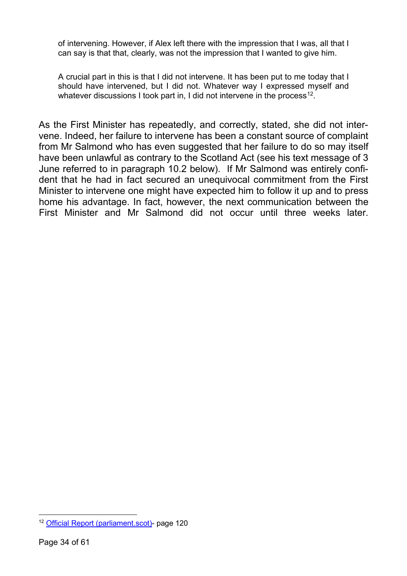of intervening. However, if Alex left there with the impression that I was, all that I can say is that that, clearly, was not the impression that I wanted to give him.

A crucial part in this is that I did not intervene. It has been put to me today that I should have intervened, but I did not. Whatever way I expressed myself and whatever discussions I took part in, I did not intervene in the process<sup>12</sup>.

As the First Minister has repeatedly, and correctly, stated, she did not intervene. Indeed, her failure to intervene has been a constant source of complaint from Mr Salmond who has even suggested that her failure to do so may itself have been unlawful as contrary to the Scotland Act (see his text message of 3 June referred to in paragraph 10.2 below). If Mr Salmond was entirely confident that he had in fact secured an unequivocal commitment from the First Minister to intervene one might have expected him to follow it up and to press home his advantage. In fact, however, the next communication between the First Minister and Mr Salmond did not occur until three weeks later.

<sup>12</sup> Official Report (parliament.scot)- page 120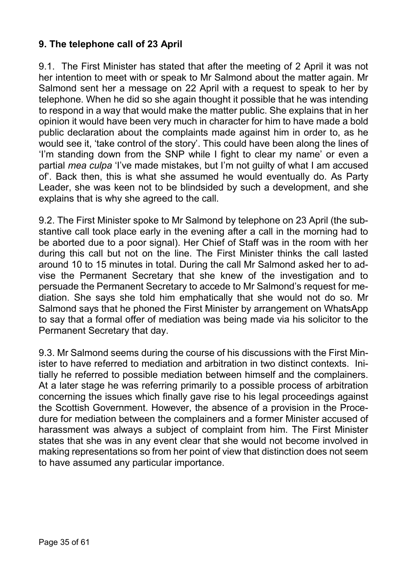#### **9. The telephone call of 23 April**

9.1. The First Minister has stated that after the meeting of 2 April it was not her intention to meet with or speak to Mr Salmond about the matter again. Mr Salmond sent her a message on 22 April with a request to speak to her by telephone. When he did so she again thought it possible that he was intending to respond in a way that would make the matter public. She explains that in her opinion it would have been very much in character for him to have made a bold public declaration about the complaints made against him in order to, as he would see it, 'take control of the story'. This could have been along the lines of 'I'm standing down from the SNP while I fight to clear my name' or even a partial *mea culpa* 'I've made mistakes, but I'm not guilty of what I am accused of'. Back then, this is what she assumed he would eventually do. As Party Leader, she was keen not to be blindsided by such a development, and she explains that is why she agreed to the call.

9.2. The First Minister spoke to Mr Salmond by telephone on 23 April (the substantive call took place early in the evening after a call in the morning had to be aborted due to a poor signal). Her Chief of Staff was in the room with her during this call but not on the line. The First Minister thinks the call lasted around 10 to 15 minutes in total. During the call Mr Salmond asked her to advise the Permanent Secretary that she knew of the investigation and to persuade the Permanent Secretary to accede to Mr Salmond's request for mediation. She says she told him emphatically that she would not do so. Mr Salmond says that he phoned the First Minister by arrangement on WhatsApp to say that a formal offer of mediation was being made via his solicitor to the Permanent Secretary that day.

9.3. Mr Salmond seems during the course of his discussions with the First Minister to have referred to mediation and arbitration in two distinct contexts. Initially he referred to possible mediation between himself and the complainers. At a later stage he was referring primarily to a possible process of arbitration concerning the issues which finally gave rise to his legal proceedings against the Scottish Government. However, the absence of a provision in the Procedure for mediation between the complainers and a former Minister accused of harassment was always a subject of complaint from him. The First Minister states that she was in any event clear that she would not become involved in making representations so from her point of view that distinction does not seem to have assumed any particular importance.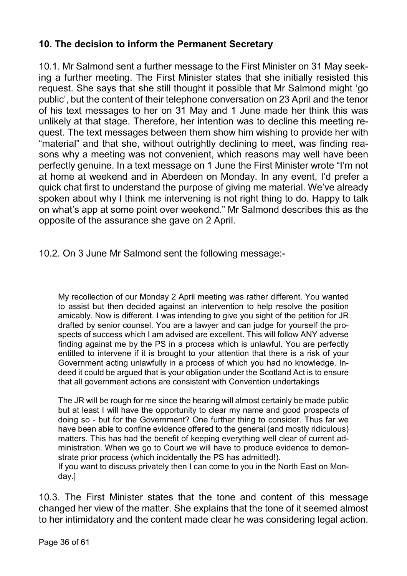#### **10. The decision to inform the Permanent Secretary**

10.1. Mr Salmond sent a further message to the First Minister on 31 May seeking a further meeting. The First Minister states that she initially resisted this request. She says that she still thought it possible that Mr Salmond might 'go public', but the content of their telephone conversation on 23 April and the tenor of his text messages to her on 31 May and 1 June made her think this was unlikely at that stage. Therefore, her intention was to decline this meeting request. The text messages between them show him wishing to provide her with "material" and that she, without outrightly declining to meet, was finding reasons why a meeting was not convenient, which reasons may well have been perfectly genuine. In a text message on 1 June the First Minister wrote "I'm not at home at weekend and in Aberdeen on Monday. In any event, I'd prefer a quick chat first to understand the purpose of giving me material. We've already spoken about why I think me intervening is not right thing to do. Happy to talk on what's app at some point over weekend." Mr Salmond describes this as the opposite of the assurance she gave on 2 April.

10.2. On 3 June Mr Salmond sent the following message:-

My recollection of our Monday 2 April meeting was rather different. You wanted to assist but then decided against an intervention to help resolve the position amicably. Now is different. I was intending to give you sight of the petition for JR drafted by senior counsel. You are a lawyer and can judge for yourself the prospects of success which I am advised are excellent. This will follow ANY adverse finding against me by the PS in a process which is unlawful. You are perfectly entitled to intervene if it is brought to your attention that there is a risk of your Government acting unlawfully in a process of which you had no knowledge. Indeed it could be argued that is your obligation under the Scotland Act is to ensure that all government actions are consistent with Convention undertakings

The JR will be rough for me since the hearing will almost certainly be made public but at least I will have the opportunity to clear my name and good prospects of doing so - but for the Government? One further thing to consider. Thus far we have been able to confine evidence offered to the general (and mostly ridiculous) matters. This has had the benefit of keeping everything well clear of current administration. When we go to Court we will have to produce evidence to demonstrate prior process (which incidentally the PS has admitted!). If you want to discuss privately then I can come to you in the North East on Mon-

10.3. The First Minister states that the tone and content of this message changed her view of the matter. She explains that the tone of it seemed almost to her intimidatory and the content made clear he was considering legal action.

day.]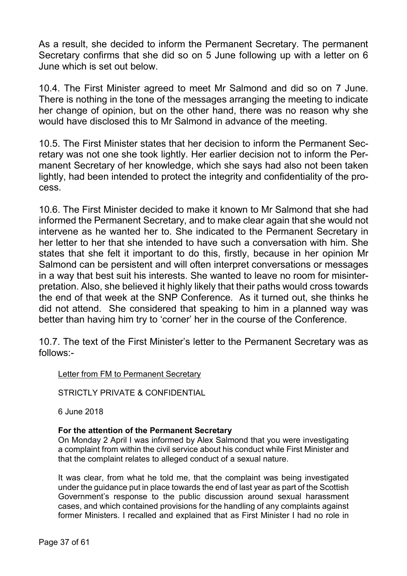As a result, she decided to inform the Permanent Secretary. The permanent Secretary confirms that she did so on 5 June following up with a letter on 6 June which is set out below.

10.4. The First Minister agreed to meet Mr Salmond and did so on 7 June. There is nothing in the tone of the messages arranging the meeting to indicate her change of opinion, but on the other hand, there was no reason why she would have disclosed this to Mr Salmond in advance of the meeting.

10.5. The First Minister states that her decision to inform the Permanent Secretary was not one she took lightly. Her earlier decision not to inform the Permanent Secretary of her knowledge, which she says had also not been taken lightly, had been intended to protect the integrity and confidentiality of the process.

10.6. The First Minister decided to make it known to Mr Salmond that she had informed the Permanent Secretary, and to make clear again that she would not intervene as he wanted her to. She indicated to the Permanent Secretary in her letter to her that she intended to have such a conversation with him. She states that she felt it important to do this, firstly, because in her opinion Mr Salmond can be persistent and will often interpret conversations or messages in a way that best suit his interests. She wanted to leave no room for misinterpretation. Also, she believed it highly likely that their paths would cross towards the end of that week at the SNP Conference. As it turned out, she thinks he did not attend. She considered that speaking to him in a planned way was better than having him try to 'corner' her in the course of the Conference.

10.7. The text of the First Minister's letter to the Permanent Secretary was as follows:-

Letter from FM to Permanent Secretary

STRICTLY PRIVATE & CONFIDENTIAL

6 June 2018

#### **For the attention of the Permanent Secretary**

On Monday 2 April I was informed by Alex Salmond that you were investigating a complaint from within the civil service about his conduct while First Minister and that the complaint relates to alleged conduct of a sexual nature.

It was clear, from what he told me, that the complaint was being investigated under the guidance put in place towards the end of last year as part of the Scottish Government's response to the public discussion around sexual harassment cases, and which contained provisions for the handling of any complaints against former Ministers. I recalled and explained that as First Minister I had no role in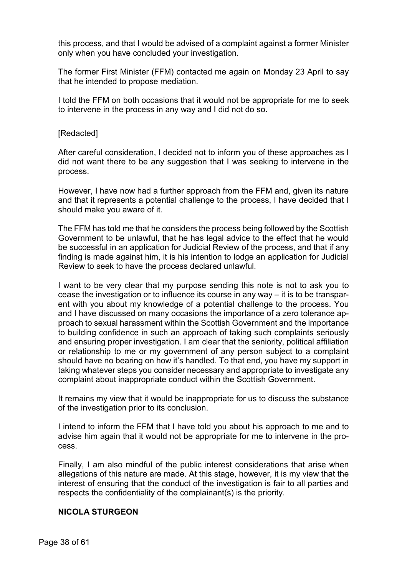this process, and that I would be advised of a complaint against a former Minister only when you have concluded your investigation.

The former First Minister (FFM) contacted me again on Monday 23 April to say that he intended to propose mediation.

I told the FFM on both occasions that it would not be appropriate for me to seek to intervene in the process in any way and I did not do so.

#### [Redacted]

After careful consideration, I decided not to inform you of these approaches as I did not want there to be any suggestion that I was seeking to intervene in the process.

However, I have now had a further approach from the FFM and, given its nature and that it represents a potential challenge to the process, I have decided that I should make you aware of it.

The FFM has told me that he considers the process being followed by the Scottish Government to be unlawful, that he has legal advice to the effect that he would be successful in an application for Judicial Review of the process, and that if any finding is made against him, it is his intention to lodge an application for Judicial Review to seek to have the process declared unlawful.

I want to be very clear that my purpose sending this note is not to ask you to cease the investigation or to influence its course in any way – it is to be transparent with you about my knowledge of a potential challenge to the process. You and I have discussed on many occasions the importance of a zero tolerance approach to sexual harassment within the Scottish Government and the importance to building confidence in such an approach of taking such complaints seriously and ensuring proper investigation. I am clear that the seniority, political affiliation or relationship to me or my government of any person subject to a complaint should have no bearing on how it's handled. To that end, you have my support in taking whatever steps you consider necessary and appropriate to investigate any complaint about inappropriate conduct within the Scottish Government.

It remains my view that it would be inappropriate for us to discuss the substance of the investigation prior to its conclusion.

I intend to inform the FFM that I have told you about his approach to me and to advise him again that it would not be appropriate for me to intervene in the process.

Finally, I am also mindful of the public interest considerations that arise when allegations of this nature are made. At this stage, however, it is my view that the interest of ensuring that the conduct of the investigation is fair to all parties and respects the confidentiality of the complainant(s) is the priority.

#### **NICOLA STURGEON**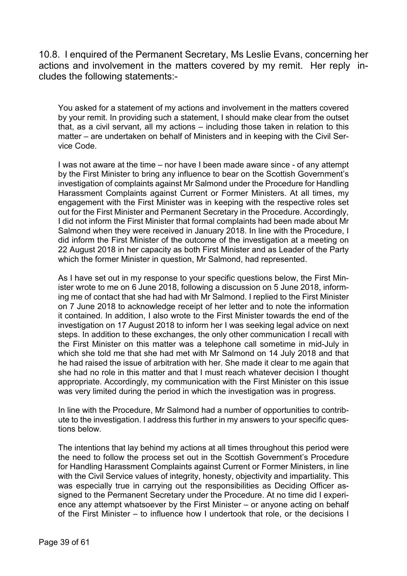10.8. I enquired of the Permanent Secretary, Ms Leslie Evans, concerning her actions and involvement in the matters covered by my remit. Her reply includes the following statements:-

You asked for a statement of my actions and involvement in the matters covered by your remit. In providing such a statement, I should make clear from the outset that, as a civil servant, all my actions – including those taken in relation to this matter – are undertaken on behalf of Ministers and in keeping with the Civil Service Code.

I was not aware at the time – nor have I been made aware since - of any attempt by the First Minister to bring any influence to bear on the Scottish Government's investigation of complaints against Mr Salmond under the Procedure for Handling Harassment Complaints against Current or Former Ministers. At all times, my engagement with the First Minister was in keeping with the respective roles set out for the First Minister and Permanent Secretary in the Procedure. Accordingly, I did not inform the First Minister that formal complaints had been made about Mr Salmond when they were received in January 2018. In line with the Procedure, I did inform the First Minister of the outcome of the investigation at a meeting on 22 August 2018 in her capacity as both First Minister and as Leader of the Party which the former Minister in question, Mr Salmond, had represented.

As I have set out in my response to your specific questions below, the First Minister wrote to me on 6 June 2018, following a discussion on 5 June 2018, informing me of contact that she had had with Mr Salmond. I replied to the First Minister on 7 June 2018 to acknowledge receipt of her letter and to note the information it contained. In addition, I also wrote to the First Minister towards the end of the investigation on 17 August 2018 to inform her I was seeking legal advice on next steps. In addition to these exchanges, the only other communication I recall with the First Minister on this matter was a telephone call sometime in mid-July in which she told me that she had met with Mr Salmond on 14 July 2018 and that he had raised the issue of arbitration with her. She made it clear to me again that she had no role in this matter and that I must reach whatever decision I thought appropriate. Accordingly, my communication with the First Minister on this issue was very limited during the period in which the investigation was in progress.

In line with the Procedure, Mr Salmond had a number of opportunities to contribute to the investigation. I address this further in my answers to your specific questions below.

The intentions that lay behind my actions at all times throughout this period were the need to follow the process set out in the Scottish Government's Procedure for Handling Harassment Complaints against Current or Former Ministers, in line with the Civil Service values of integrity, honesty, objectivity and impartiality. This was especially true in carrying out the responsibilities as Deciding Officer assigned to the Permanent Secretary under the Procedure. At no time did I experience any attempt whatsoever by the First Minister – or anyone acting on behalf of the First Minister – to influence how I undertook that role, or the decisions I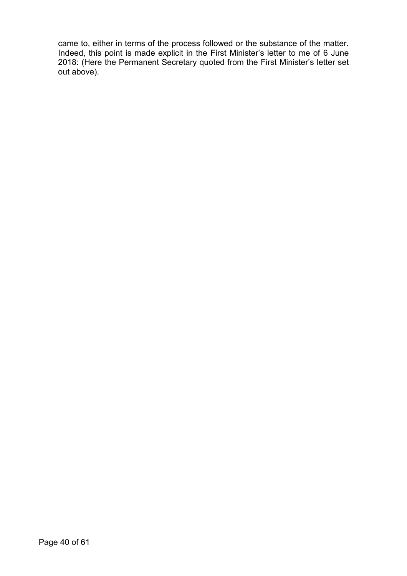came to, either in terms of the process followed or the substance of the matter. Indeed, this point is made explicit in the First Minister's letter to me of 6 June 2018: (Here the Permanent Secretary quoted from the First Minister's letter set out above).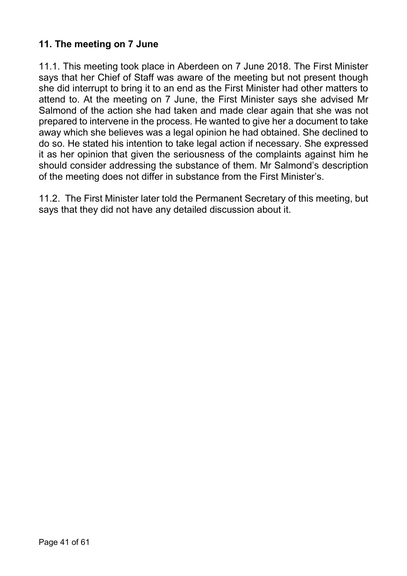#### **11. The meeting on 7 June**

11.1. This meeting took place in Aberdeen on 7 June 2018. The First Minister says that her Chief of Staff was aware of the meeting but not present though she did interrupt to bring it to an end as the First Minister had other matters to attend to. At the meeting on 7 June, the First Minister says she advised Mr Salmond of the action she had taken and made clear again that she was not prepared to intervene in the process. He wanted to give her a document to take away which she believes was a legal opinion he had obtained. She declined to do so. He stated his intention to take legal action if necessary. She expressed it as her opinion that given the seriousness of the complaints against him he should consider addressing the substance of them. Mr Salmond's description of the meeting does not differ in substance from the First Minister's.

11.2. The First Minister later told the Permanent Secretary of this meeting, but says that they did not have any detailed discussion about it.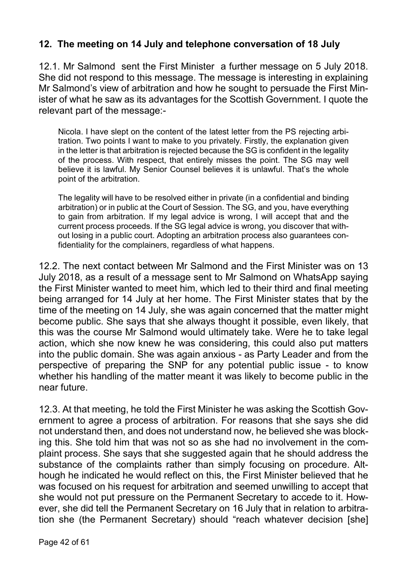#### **12. The meeting on 14 July and telephone conversation of 18 July**

12.1. Mr Salmond sent the First Minister a further message on 5 July 2018. She did not respond to this message. The message is interesting in explaining Mr Salmond's view of arbitration and how he sought to persuade the First Minister of what he saw as its advantages for the Scottish Government. I quote the relevant part of the message:-

Nicola. I have slept on the content of the latest letter from the PS rejecting arbitration. Two points I want to make to you privately. Firstly, the explanation given in the letter is that arbitration is rejected because the SG is confident in the legality of the process. With respect, that entirely misses the point. The SG may well believe it is lawful. My Senior Counsel believes it is unlawful. That's the whole point of the arbitration.

The legality will have to be resolved either in private (in a confidential and binding arbitration) or in public at the Court of Session. The SG, and you, have everything to gain from arbitration. If my legal advice is wrong, I will accept that and the current process proceeds. If the SG legal advice is wrong, you discover that without losing in a public court. Adopting an arbitration process also guarantees confidentiality for the complainers, regardless of what happens.

12.2. The next contact between Mr Salmond and the First Minister was on 13 July 2018, as a result of a message sent to Mr Salmond on WhatsApp saying the First Minister wanted to meet him, which led to their third and final meeting being arranged for 14 July at her home. The First Minister states that by the time of the meeting on 14 July, she was again concerned that the matter might become public. She says that she always thought it possible, even likely, that this was the course Mr Salmond would ultimately take. Were he to take legal action, which she now knew he was considering, this could also put matters into the public domain. She was again anxious - as Party Leader and from the perspective of preparing the SNP for any potential public issue - to know whether his handling of the matter meant it was likely to become public in the near future.

12.3. At that meeting, he told the First Minister he was asking the Scottish Government to agree a process of arbitration. For reasons that she says she did not understand then, and does not understand now, he believed she was blocking this. She told him that was not so as she had no involvement in the complaint process. She says that she suggested again that he should address the substance of the complaints rather than simply focusing on procedure. Although he indicated he would reflect on this, the First Minister believed that he was focused on his request for arbitration and seemed unwilling to accept that she would not put pressure on the Permanent Secretary to accede to it. However, she did tell the Permanent Secretary on 16 July that in relation to arbitration she (the Permanent Secretary) should "reach whatever decision [she]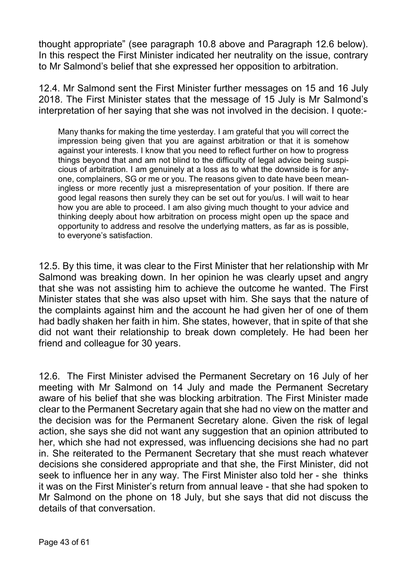thought appropriate" (see paragraph 10.8 above and Paragraph 12.6 below). In this respect the First Minister indicated her neutrality on the issue, contrary to Mr Salmond's belief that she expressed her opposition to arbitration.

12.4. Mr Salmond sent the First Minister further messages on 15 and 16 July 2018. The First Minister states that the message of 15 July is Mr Salmond's interpretation of her saying that she was not involved in the decision. I quote:-

Many thanks for making the time yesterday. I am grateful that you will correct the impression being given that you are against arbitration or that it is somehow against your interests. I know that you need to reflect further on how to progress things beyond that and am not blind to the difficulty of legal advice being suspicious of arbitration. I am genuinely at a loss as to what the downside is for anyone, complainers, SG or me or you. The reasons given to date have been meaningless or more recently just a misrepresentation of your position. If there are good legal reasons then surely they can be set out for you/us. I will wait to hear how you are able to proceed. I am also giving much thought to your advice and thinking deeply about how arbitration on process might open up the space and opportunity to address and resolve the underlying matters, as far as is possible, to everyone's satisfaction.

12.5. By this time, it was clear to the First Minister that her relationship with Mr Salmond was breaking down. In her opinion he was clearly upset and angry that she was not assisting him to achieve the outcome he wanted. The First Minister states that she was also upset with him. She says that the nature of the complaints against him and the account he had given her of one of them had badly shaken her faith in him. She states, however, that in spite of that she did not want their relationship to break down completely. He had been her friend and colleague for 30 years.

12.6. The First Minister advised the Permanent Secretary on 16 July of her meeting with Mr Salmond on 14 July and made the Permanent Secretary aware of his belief that she was blocking arbitration. The First Minister made clear to the Permanent Secretary again that she had no view on the matter and the decision was for the Permanent Secretary alone. Given the risk of legal action, she says she did not want any suggestion that an opinion attributed to her, which she had not expressed, was influencing decisions she had no part in. She reiterated to the Permanent Secretary that she must reach whatever decisions she considered appropriate and that she, the First Minister, did not seek to influence her in any way. The First Minister also told her - she thinks it was on the First Minister's return from annual leave - that she had spoken to Mr Salmond on the phone on 18 July, but she says that did not discuss the details of that conversation.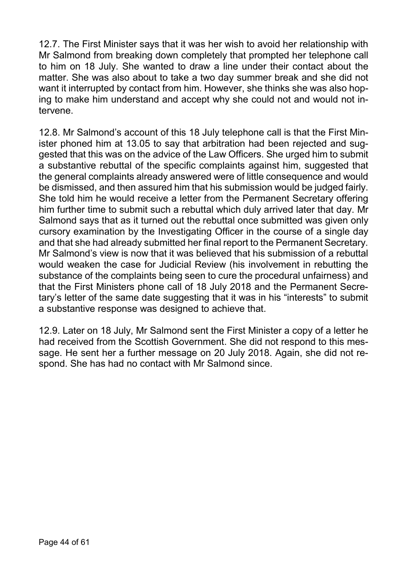12.7. The First Minister says that it was her wish to avoid her relationship with Mr Salmond from breaking down completely that prompted her telephone call to him on 18 July. She wanted to draw a line under their contact about the matter. She was also about to take a two day summer break and she did not want it interrupted by contact from him. However, she thinks she was also hoping to make him understand and accept why she could not and would not intervene.

12.8. Mr Salmond's account of this 18 July telephone call is that the First Minister phoned him at 13.05 to say that arbitration had been rejected and suggested that this was on the advice of the Law Officers. She urged him to submit a substantive rebuttal of the specific complaints against him, suggested that the general complaints already answered were of little consequence and would be dismissed, and then assured him that his submission would be judged fairly. She told him he would receive a letter from the Permanent Secretary offering him further time to submit such a rebuttal which duly arrived later that day. Mr Salmond says that as it turned out the rebuttal once submitted was given only cursory examination by the Investigating Officer in the course of a single day and that she had already submitted her final report to the Permanent Secretary. Mr Salmond's view is now that it was believed that his submission of a rebuttal would weaken the case for Judicial Review (his involvement in rebutting the substance of the complaints being seen to cure the procedural unfairness) and that the First Ministers phone call of 18 July 2018 and the Permanent Secretary's letter of the same date suggesting that it was in his "interests" to submit a substantive response was designed to achieve that.

12.9. Later on 18 July, Mr Salmond sent the First Minister a copy of a letter he had received from the Scottish Government. She did not respond to this message. He sent her a further message on 20 July 2018. Again, she did not respond. She has had no contact with Mr Salmond since.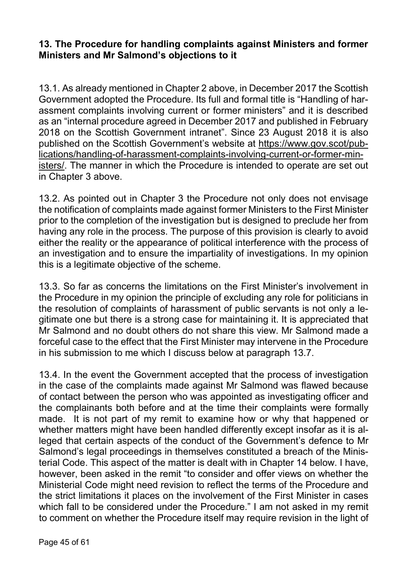#### **13. The Procedure for handling complaints against Ministers and former Ministers and Mr Salmond's objections to it**

13.1. As already mentioned in Chapter 2 above, in December 2017 the Scottish Government adopted the Procedure. Its full and formal title is "Handling of harassment complaints involving current or former ministers" and it is described as an "internal procedure agreed in December 2017 and published in February 2018 on the Scottish Government intranet". Since 23 August 2018 it is also published on the Scottish Government's website at https://www.gov.scot/publications/handling-of-harassment-complaints-involving-current-or-former-ministers/. The manner in which the Procedure is intended to operate are set out in Chapter 3 above.

13.2. As pointed out in Chapter 3 the Procedure not only does not envisage the notification of complaints made against former Ministers to the First Minister prior to the completion of the investigation but is designed to preclude her from having any role in the process. The purpose of this provision is clearly to avoid either the reality or the appearance of political interference with the process of an investigation and to ensure the impartiality of investigations. In my opinion this is a legitimate objective of the scheme.

13.3. So far as concerns the limitations on the First Minister's involvement in the Procedure in my opinion the principle of excluding any role for politicians in the resolution of complaints of harassment of public servants is not only a legitimate one but there is a strong case for maintaining it. It is appreciated that Mr Salmond and no doubt others do not share this view. Mr Salmond made a forceful case to the effect that the First Minister may intervene in the Procedure in his submission to me which I discuss below at paragraph 13.7.

13.4. In the event the Government accepted that the process of investigation in the case of the complaints made against Mr Salmond was flawed because of contact between the person who was appointed as investigating officer and the complainants both before and at the time their complaints were formally made. It is not part of my remit to examine how or why that happened or whether matters might have been handled differently except insofar as it is alleged that certain aspects of the conduct of the Government's defence to Mr Salmond's legal proceedings in themselves constituted a breach of the Ministerial Code. This aspect of the matter is dealt with in Chapter 14 below. I have, however, been asked in the remit "to consider and offer views on whether the Ministerial Code might need revision to reflect the terms of the Procedure and the strict limitations it places on the involvement of the First Minister in cases which fall to be considered under the Procedure." I am not asked in my remit to comment on whether the Procedure itself may require revision in the light of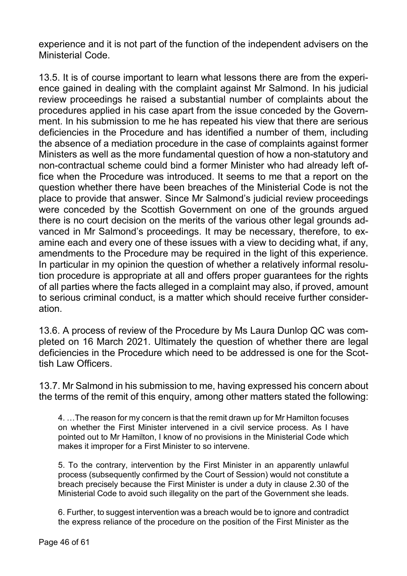experience and it is not part of the function of the independent advisers on the Ministerial Code.

13.5. It is of course important to learn what lessons there are from the experience gained in dealing with the complaint against Mr Salmond. In his judicial review proceedings he raised a substantial number of complaints about the procedures applied in his case apart from the issue conceded by the Government. In his submission to me he has repeated his view that there are serious deficiencies in the Procedure and has identified a number of them, including the absence of a mediation procedure in the case of complaints against former Ministers as well as the more fundamental question of how a non-statutory and non-contractual scheme could bind a former Minister who had already left office when the Procedure was introduced. It seems to me that a report on the question whether there have been breaches of the Ministerial Code is not the place to provide that answer. Since Mr Salmond's judicial review proceedings were conceded by the Scottish Government on one of the grounds argued there is no court decision on the merits of the various other legal grounds advanced in Mr Salmond's proceedings. It may be necessary, therefore, to examine each and every one of these issues with a view to deciding what, if any, amendments to the Procedure may be required in the light of this experience. In particular in my opinion the question of whether a relatively informal resolution procedure is appropriate at all and offers proper guarantees for the rights of all parties where the facts alleged in a complaint may also, if proved, amount to serious criminal conduct, is a matter which should receive further consideration.

13.6. A process of review of the Procedure by Ms Laura Dunlop QC was completed on 16 March 2021. Ultimately the question of whether there are legal deficiencies in the Procedure which need to be addressed is one for the Scottish Law Officers.

13.7. Mr Salmond in his submission to me, having expressed his concern about the terms of the remit of this enquiry, among other matters stated the following:

4. …The reason for my concern is that the remit drawn up for Mr Hamilton focuses on whether the First Minister intervened in a civil service process. As I have pointed out to Mr Hamilton, I know of no provisions in the Ministerial Code which makes it improper for a First Minister to so intervene.

5. To the contrary, intervention by the First Minister in an apparently unlawful process (subsequently confirmed by the Court of Session) would not constitute a breach precisely because the First Minister is under a duty in clause 2.30 of the Ministerial Code to avoid such illegality on the part of the Government she leads.

6. Further, to suggest intervention was a breach would be to ignore and contradict the express reliance of the procedure on the position of the First Minister as the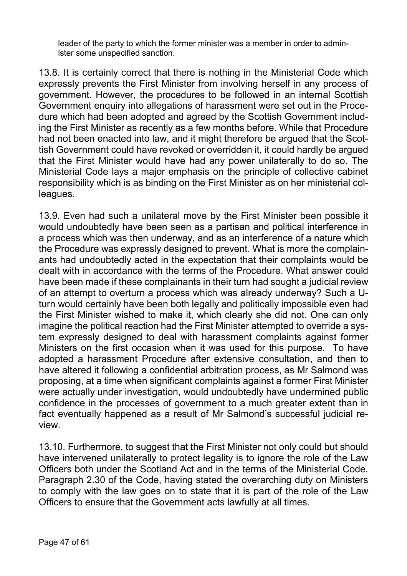leader of the party to which the former minister was a member in order to administer some unspecified sanction.

13.8. It is certainly correct that there is nothing in the Ministerial Code which expressly prevents the First Minister from involving herself in any process of government. However, the procedures to be followed in an internal Scottish Government enquiry into allegations of harassment were set out in the Procedure which had been adopted and agreed by the Scottish Government including the First Minister as recently as a few months before. While that Procedure had not been enacted into law, and it might therefore be argued that the Scottish Government could have revoked or overridden it, it could hardly be argued that the First Minister would have had any power unilaterally to do so. The Ministerial Code lays a major emphasis on the principle of collective cabinet responsibility which is as binding on the First Minister as on her ministerial colleagues.

13.9. Even had such a unilateral move by the First Minister been possible it would undoubtedly have been seen as a partisan and political interference in a process which was then underway, and as an interference of a nature which the Procedure was expressly designed to prevent. What is more the complainants had undoubtedly acted in the expectation that their complaints would be dealt with in accordance with the terms of the Procedure. What answer could have been made if these complainants in their turn had sought a judicial review of an attempt to overturn a process which was already underway? Such a Uturn would certainly have been both legally and politically impossible even had the First Minister wished to make it, which clearly she did not. One can only imagine the political reaction had the First Minister attempted to override a system expressly designed to deal with harassment complaints against former Ministers on the first occasion when it was used for this purpose. To have adopted a harassment Procedure after extensive consultation, and then to have altered it following a confidential arbitration process, as Mr Salmond was proposing, at a time when significant complaints against a former First Minister were actually under investigation, would undoubtedly have undermined public confidence in the processes of government to a much greater extent than in fact eventually happened as a result of Mr Salmond's successful judicial review.

13.10. Furthermore, to suggest that the First Minister not only could but should have intervened unilaterally to protect legality is to ignore the role of the Law Officers both under the Scotland Act and in the terms of the Ministerial Code. Paragraph 2.30 of the Code, having stated the overarching duty on Ministers to comply with the law goes on to state that it is part of the role of the Law Officers to ensure that the Government acts lawfully at all times.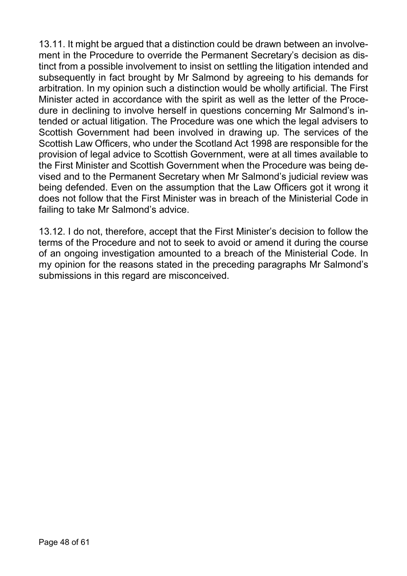13.11. It might be argued that a distinction could be drawn between an involvement in the Procedure to override the Permanent Secretary's decision as distinct from a possible involvement to insist on settling the litigation intended and subsequently in fact brought by Mr Salmond by agreeing to his demands for arbitration. In my opinion such a distinction would be wholly artificial. The First Minister acted in accordance with the spirit as well as the letter of the Procedure in declining to involve herself in questions concerning Mr Salmond's intended or actual litigation. The Procedure was one which the legal advisers to Scottish Government had been involved in drawing up. The services of the Scottish Law Officers, who under the Scotland Act 1998 are responsible for the provision of legal advice to Scottish Government, were at all times available to the First Minister and Scottish Government when the Procedure was being devised and to the Permanent Secretary when Mr Salmond's judicial review was being defended. Even on the assumption that the Law Officers got it wrong it does not follow that the First Minister was in breach of the Ministerial Code in failing to take Mr Salmond's advice.

13.12. I do not, therefore, accept that the First Minister's decision to follow the terms of the Procedure and not to seek to avoid or amend it during the course of an ongoing investigation amounted to a breach of the Ministerial Code. In my opinion for the reasons stated in the preceding paragraphs Mr Salmond's submissions in this regard are misconceived.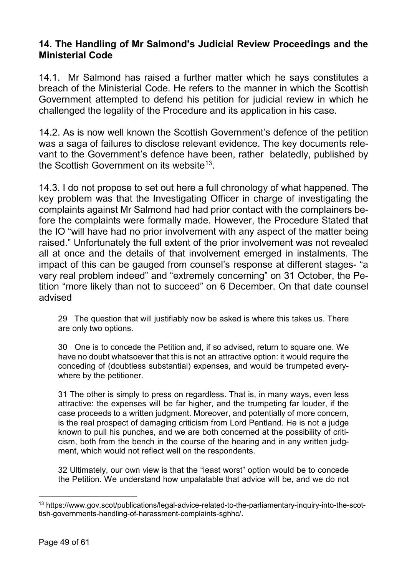#### **14. The Handling of Mr Salmond's Judicial Review Proceedings and the Ministerial Code**

14.1. Mr Salmond has raised a further matter which he says constitutes a breach of the Ministerial Code. He refers to the manner in which the Scottish Government attempted to defend his petition for judicial review in which he challenged the legality of the Procedure and its application in his case.

14.2. As is now well known the Scottish Government's defence of the petition was a saga of failures to disclose relevant evidence. The key documents relevant to the Government's defence have been, rather belatedly, published by the Scottish Government on its website<sup>13</sup>.

14.3. I do not propose to set out here a full chronology of what happened. The key problem was that the Investigating Officer in charge of investigating the complaints against Mr Salmond had had prior contact with the complainers before the complaints were formally made. However, the Procedure Stated that the IO "will have had no prior involvement with any aspect of the matter being raised." Unfortunately the full extent of the prior involvement was not revealed all at once and the details of that involvement emerged in instalments. The impact of this can be gauged from counsel's response at different stages- "a very real problem indeed" and "extremely concerning" on 31 October, the Petition "more likely than not to succeed" on 6 December. On that date counsel advised

29 The question that will justifiably now be asked is where this takes us. There are only two options.

30 One is to concede the Petition and, if so advised, return to square one. We have no doubt whatsoever that this is not an attractive option: it would require the conceding of (doubtless substantial) expenses, and would be trumpeted everywhere by the petitioner.

31 The other is simply to press on regardless. That is, in many ways, even less attractive: the expenses will be far higher, and the trumpeting far louder, if the case proceeds to a written judgment. Moreover, and potentially of more concern, is the real prospect of damaging criticism from Lord Pentland. He is not a judge known to pull his punches, and we are both concerned at the possibility of criticism, both from the bench in the course of the hearing and in any written judgment, which would not reflect well on the respondents.

32 Ultimately, our own view is that the "least worst" option would be to concede the Petition. We understand how unpalatable that advice will be, and we do not

<sup>13</sup> https://www.gov.scot/publications/legal-advice-related-to-the-parliamentary-inquiry-into-the-scottish-governments-handling-of-harassment-complaints-sghhc/.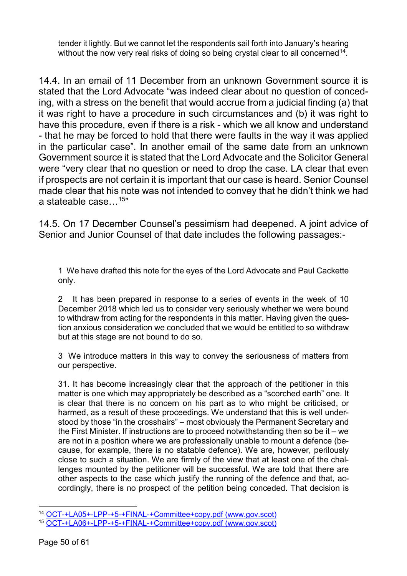tender it lightly. But we cannot let the respondents sail forth into January's hearing without the now very real risks of doing so being crystal clear to all concerned<sup>14</sup>.

14.4. In an email of 11 December from an unknown Government source it is stated that the Lord Advocate "was indeed clear about no question of conceding, with a stress on the benefit that would accrue from a judicial finding (a) that it was right to have a procedure in such circumstances and (b) it was right to have this procedure, even if there is a risk - which we all know and understand - that he may be forced to hold that there were faults in the way it was applied in the particular case". In another email of the same date from an unknown Government source it is stated that the Lord Advocate and the Solicitor General were "very clear that no question or need to drop the case. LA clear that even if prospects are not certain it is important that our case is heard. Senior Counsel made clear that his note was not intended to convey that he didn't think we had a stateable case…15"

14.5. On 17 December Counsel's pessimism had deepened. A joint advice of Senior and Junior Counsel of that date includes the following passages:-

1 We have drafted this note for the eyes of the Lord Advocate and Paul Cackette only.

2 It has been prepared in response to a series of events in the week of 10 December 2018 which led us to consider very seriously whether we were bound to withdraw from acting for the respondents in this matter. Having given the question anxious consideration we concluded that we would be entitled to so withdraw but at this stage are not bound to do so.

3 We introduce matters in this way to convey the seriousness of matters from our perspective.

31. It has become increasingly clear that the approach of the petitioner in this matter is one which may appropriately be described as a "scorched earth" one. It is clear that there is no concern on his part as to who might be criticised, or harmed, as a result of these proceedings. We understand that this is well understood by those "in the crosshairs" – most obviously the Permanent Secretary and the First Minister. If instructions are to proceed notwithstanding then so be it – we are not in a position where we are professionally unable to mount a defence (because, for example, there is no statable defence). We are, however, perilously close to such a situation. We are firmly of the view that at least one of the challenges mounted by the petitioner will be successful. We are told that there are other aspects to the case which justify the running of the defence and that, accordingly, there is no prospect of the petition being conceded. That decision is

 $\overline{a}$ <sup>14</sup> OCT-+LA05+-LPP-+5-+FINAL-+Committee+copy.pdf (www.gov.scot)

<sup>15</sup> OCT-+LA06+-LPP-+5-+FINAL-+Committee+copy.pdf (www.gov.scot)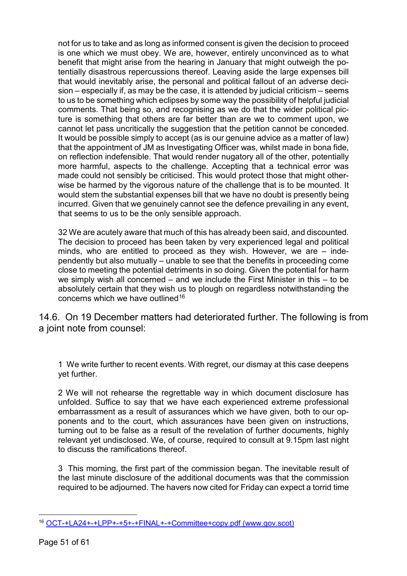not for us to take and as long as informed consent is given the decision to proceed is one which we must obey. We are, however, entirely unconvinced as to what benefit that might arise from the hearing in January that might outweigh the potentially disastrous repercussions thereof. Leaving aside the large expenses bill that would inevitably arise, the personal and political fallout of an adverse decision – especially if, as may be the case, it is attended by judicial criticism – seems to us to be something which eclipses by some way the possibility of helpful judicial comments. That being so, and recognising as we do that the wider political picture is something that others are far better than are we to comment upon, we cannot let pass uncritically the suggestion that the petition cannot be conceded. It would be possible simply to accept (as is our genuine advice as a matter of law) that the appointment of JM as Investigating Officer was, whilst made in bona fide, on reflection indefensible. That would render nugatory all of the other, potentially more harmful, aspects to the challenge. Accepting that a technical error was made could not sensibly be criticised. This would protect those that might otherwise be harmed by the vigorous nature of the challenge that is to be mounted. It would stem the substantial expenses bill that we have no doubt is presently being incurred. Given that we genuinely cannot see the defence prevailing in any event, that seems to us to be the only sensible approach.

32 We are acutely aware that much of this has already been said, and discounted. The decision to proceed has been taken by very experienced legal and political minds, who are entitled to proceed as they wish. However, we are – independently but also mutually – unable to see that the benefits in proceeding come close to meeting the potential detriments in so doing. Given the potential for harm we simply wish all concerned – and we include the First Minister in this – to be absolutely certain that they wish us to plough on regardless notwithstanding the concerns which we have outlined  $16$ 

14.6. On 19 December matters had deteriorated further. The following is from a joint note from counsel:

1 We write further to recent events. With regret, our dismay at this case deepens yet further.

2 We will not rehearse the regrettable way in which document disclosure has unfolded. Suffice to say that we have each experienced extreme professional embarrassment as a result of assurances which we have given, both to our opponents and to the court, which assurances have been given on instructions, turning out to be false as a result of the revelation of further documents, highly relevant yet undisclosed. We, of course, required to consult at 9.15pm last night to discuss the ramifications thereof.

3 This morning, the first part of the commission began. The inevitable result of the last minute disclosure of the additional documents was that the commission required to be adjourned. The havers now cited for Friday can expect a torrid time

<sup>16</sup> OCT-+LA24+-+LPP+-+5+-+FINAL+-+Committee+copy.pdf (www.gov.scot)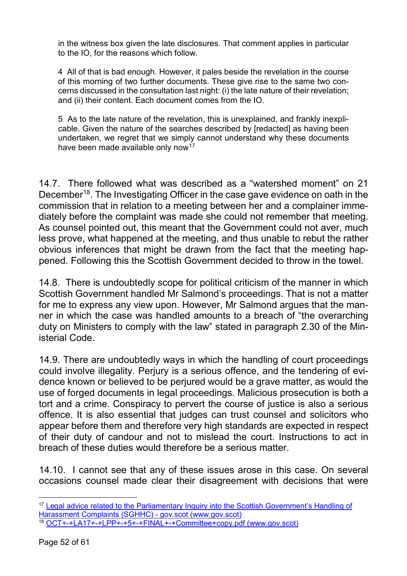in the witness box given the late disclosures. That comment applies in particular to the IO, for the reasons which follow.

4 All of that is bad enough. However, it pales beside the revelation in the course of this morning of two further documents. These give rise to the same two concerns discussed in the consultation last night: (i) the late nature of their revelation; and (ii) their content. Each document comes from the IO.

5 As to the late nature of the revelation, this is unexplained, and frankly inexplicable. Given the nature of the searches described by [redacted] as having been undertaken, we regret that we simply cannot understand why these documents have been made available only now<sup>17</sup>

14.7. There followed what was described as a "watershed moment" on 21 December<sup>18</sup>. The Investigating Officer in the case gave evidence on oath in the commission that in relation to a meeting between her and a complainer immediately before the complaint was made she could not remember that meeting. As counsel pointed out, this meant that the Government could not aver, much less prove, what happened at the meeting, and thus unable to rebut the rather obvious inferences that might be drawn from the fact that the meeting happened. Following this the Scottish Government decided to throw in the towel.

14.8. There is undoubtedly scope for political criticism of the manner in which Scottish Government handled Mr Salmond's proceedings. That is not a matter for me to express any view upon. However, Mr Salmond argues that the manner in which the case was handled amounts to a breach of "the overarching duty on Ministers to comply with the law" stated in paragraph 2.30 of the Ministerial Code.

14.9. There are undoubtedly ways in which the handling of court proceedings could involve illegality. Perjury is a serious offence, and the tendering of evidence known or believed to be perjured would be a grave matter, as would the use of forged documents in legal proceedings. Malicious prosecution is both a tort and a crime. Conspiracy to pervert the course of justice is also a serious offence. It is also essential that judges can trust counsel and solicitors who appear before them and therefore very high standards are expected in respect of their duty of candour and not to mislead the court. Instructions to act in breach of these duties would therefore be a serious matter.

14.10. I cannot see that any of these issues arose in this case. On several occasions counsel made clear their disagreement with decisions that were

 $\overline{a}$ <sup>17</sup> Legal advice related to the Parliamentary Inquiry into the Scottish Government's Handling of Harassment Complaints (SGHHC) - gov.scot (www.gov.scot)

<sup>18</sup> OCT+-+LA17+-+LPP+-+5+-+FINAL+-+Committee+copy.pdf (www.gov.scot)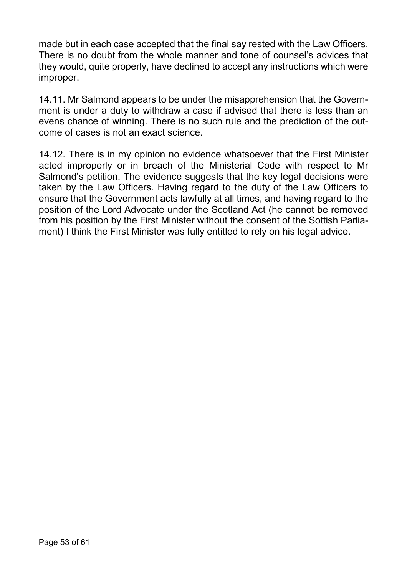made but in each case accepted that the final say rested with the Law Officers. There is no doubt from the whole manner and tone of counsel's advices that they would, quite properly, have declined to accept any instructions which were improper.

14.11. Mr Salmond appears to be under the misapprehension that the Government is under a duty to withdraw a case if advised that there is less than an evens chance of winning. There is no such rule and the prediction of the outcome of cases is not an exact science.

14.12. There is in my opinion no evidence whatsoever that the First Minister acted improperly or in breach of the Ministerial Code with respect to Mr Salmond's petition. The evidence suggests that the key legal decisions were taken by the Law Officers. Having regard to the duty of the Law Officers to ensure that the Government acts lawfully at all times, and having regard to the position of the Lord Advocate under the Scotland Act (he cannot be removed from his position by the First Minister without the consent of the Sottish Parliament) I think the First Minister was fully entitled to rely on his legal advice.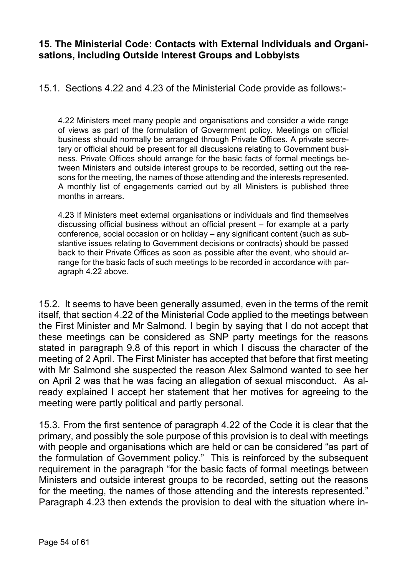#### **15. The Ministerial Code: Contacts with External Individuals and Organisations, including Outside Interest Groups and Lobbyists**

15.1. Sections 4.22 and 4.23 of the Ministerial Code provide as follows:-

4.22 Ministers meet many people and organisations and consider a wide range of views as part of the formulation of Government policy. Meetings on official business should normally be arranged through Private Offices. A private secretary or official should be present for all discussions relating to Government business. Private Offices should arrange for the basic facts of formal meetings between Ministers and outside interest groups to be recorded, setting out the reasons for the meeting, the names of those attending and the interests represented. A monthly list of engagements carried out by all Ministers is published three months in arrears.

4.23 If Ministers meet external organisations or individuals and find themselves discussing official business without an official present – for example at a party conference, social occasion or on holiday – any significant content (such as substantive issues relating to Government decisions or contracts) should be passed back to their Private Offices as soon as possible after the event, who should arrange for the basic facts of such meetings to be recorded in accordance with paragraph 4.22 above.

15.2. It seems to have been generally assumed, even in the terms of the remit itself, that section 4.22 of the Ministerial Code applied to the meetings between the First Minister and Mr Salmond. I begin by saying that I do not accept that these meetings can be considered as SNP party meetings for the reasons stated in paragraph 9.8 of this report in which I discuss the character of the meeting of 2 April. The First Minister has accepted that before that first meeting with Mr Salmond she suspected the reason Alex Salmond wanted to see her on April 2 was that he was facing an allegation of sexual misconduct. As already explained I accept her statement that her motives for agreeing to the meeting were partly political and partly personal.

15.3. From the first sentence of paragraph 4.22 of the Code it is clear that the primary, and possibly the sole purpose of this provision is to deal with meetings with people and organisations which are held or can be considered "as part of the formulation of Government policy." This is reinforced by the subsequent requirement in the paragraph "for the basic facts of formal meetings between Ministers and outside interest groups to be recorded, setting out the reasons for the meeting, the names of those attending and the interests represented." Paragraph 4.23 then extends the provision to deal with the situation where in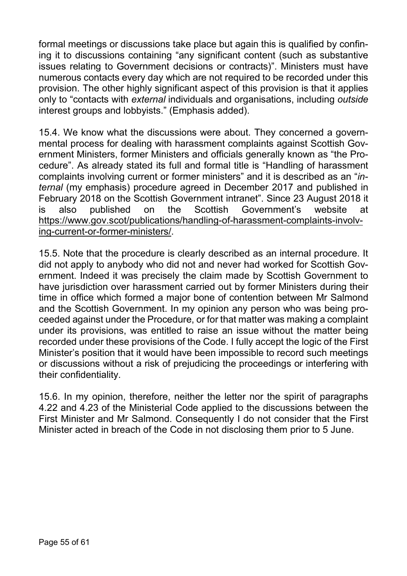formal meetings or discussions take place but again this is qualified by confining it to discussions containing "any significant content (such as substantive issues relating to Government decisions or contracts)". Ministers must have numerous contacts every day which are not required to be recorded under this provision. The other highly significant aspect of this provision is that it applies only to "contacts with *external* individuals and organisations, including *outside* interest groups and lobbyists." (Emphasis added).

15.4. We know what the discussions were about. They concerned a governmental process for dealing with harassment complaints against Scottish Government Ministers, former Ministers and officials generally known as "the Procedure". As already stated its full and formal title is "Handling of harassment complaints involving current or former ministers" and it is described as an "*internal* (my emphasis) procedure agreed in December 2017 and published in February 2018 on the Scottish Government intranet". Since 23 August 2018 it is also published on the Scottish Government's website at https://www.gov.scot/publications/handling-of-harassment-complaints-involving-current-or-former-ministers/.

15.5. Note that the procedure is clearly described as an internal procedure. It did not apply to anybody who did not and never had worked for Scottish Government. Indeed it was precisely the claim made by Scottish Government to have jurisdiction over harassment carried out by former Ministers during their time in office which formed a major bone of contention between Mr Salmond and the Scottish Government. In my opinion any person who was being proceeded against under the Procedure, or for that matter was making a complaint under its provisions, was entitled to raise an issue without the matter being recorded under these provisions of the Code. I fully accept the logic of the First Minister's position that it would have been impossible to record such meetings or discussions without a risk of prejudicing the proceedings or interfering with their confidentiality.

15.6. In my opinion, therefore, neither the letter nor the spirit of paragraphs 4.22 and 4.23 of the Ministerial Code applied to the discussions between the First Minister and Mr Salmond. Consequently I do not consider that the First Minister acted in breach of the Code in not disclosing them prior to 5 June.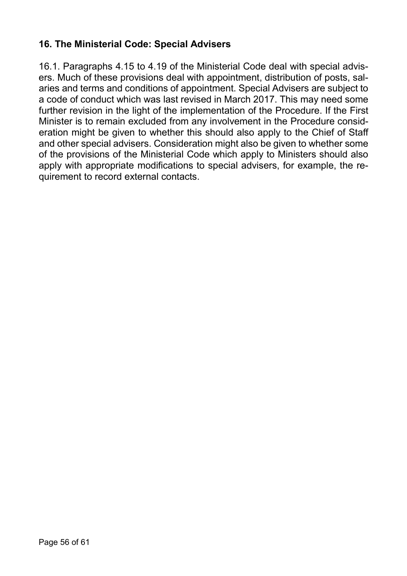# **16. The Ministerial Code: Special Advisers**

16.1. Paragraphs 4.15 to 4.19 of the Ministerial Code deal with special advisers. Much of these provisions deal with appointment, distribution of posts, salaries and terms and conditions of appointment. Special Advisers are subject to a code of conduct which was last revised in March 2017. This may need some further revision in the light of the implementation of the Procedure. If the First Minister is to remain excluded from any involvement in the Procedure consideration might be given to whether this should also apply to the Chief of Staff and other special advisers. Consideration might also be given to whether some of the provisions of the Ministerial Code which apply to Ministers should also apply with appropriate modifications to special advisers, for example, the requirement to record external contacts.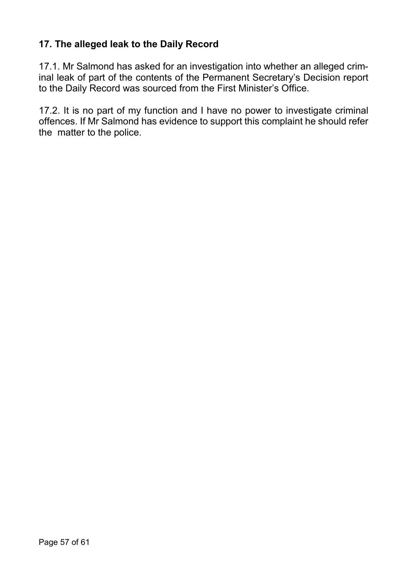# **17. The alleged leak to the Daily Record**

17.1. Mr Salmond has asked for an investigation into whether an alleged criminal leak of part of the contents of the Permanent Secretary's Decision report to the Daily Record was sourced from the First Minister's Office.

17.2. It is no part of my function and I have no power to investigate criminal offences. If Mr Salmond has evidence to support this complaint he should refer the matter to the police.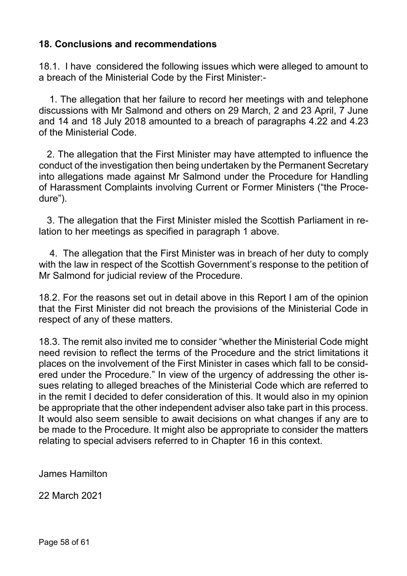#### **18. Conclusions and recommendations**

18.1. I have considered the following issues which were alleged to amount to a breach of the Ministerial Code by the First Minister:-

 1. The allegation that her failure to record her meetings with and telephone discussions with Mr Salmond and others on 29 March, 2 and 23 April, 7 June and 14 and 18 July 2018 amounted to a breach of paragraphs 4.22 and 4.23 of the Ministerial Code.

 2. The allegation that the First Minister may have attempted to influence the conduct of the investigation then being undertaken by the Permanent Secretary into allegations made against Mr Salmond under the Procedure for Handling of Harassment Complaints involving Current or Former Ministers ("the Procedure").

 3. The allegation that the First Minister misled the Scottish Parliament in relation to her meetings as specified in paragraph 1 above.

 4. The allegation that the First Minister was in breach of her duty to comply with the law in respect of the Scottish Government's response to the petition of Mr Salmond for judicial review of the Procedure.

18.2. For the reasons set out in detail above in this Report I am of the opinion that the First Minister did not breach the provisions of the Ministerial Code in respect of any of these matters.

18.3. The remit also invited me to consider "whether the Ministerial Code might need revision to reflect the terms of the Procedure and the strict limitations it places on the involvement of the First Minister in cases which fall to be considered under the Procedure." In view of the urgency of addressing the other issues relating to alleged breaches of the Ministerial Code which are referred to in the remit I decided to defer consideration of this. It would also in my opinion be appropriate that the other independent adviser also take part in this process. It would also seem sensible to await decisions on what changes if any are to be made to the Procedure. It might also be appropriate to consider the matters relating to special advisers referred to in Chapter 16 in this context.

James Hamilton

22 March 2021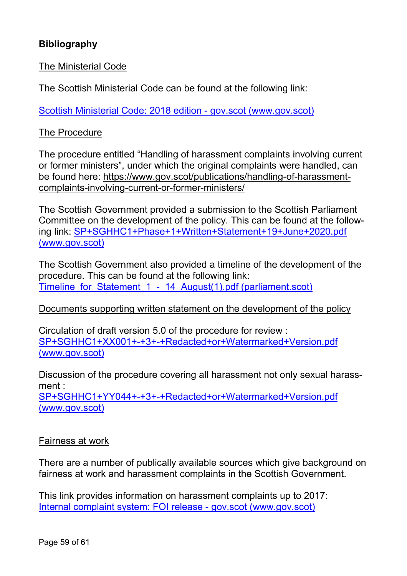# **Bibliography**

The Ministerial Code

The Scottish Ministerial Code can be found at the following link:

Scottish Ministerial Code: 2018 edition - gov.scot (www.gov.scot)

#### **The Procedure**

The procedure entitled "Handling of harassment complaints involving current or former ministers", under which the original complaints were handled, can be found here: https://www.gov.scot/publications/handling-of-harassmentcomplaints-involving-current-or-former-ministers/

The Scottish Government provided a submission to the Scottish Parliament Committee on the development of the policy. This can be found at the following link: SP+SGHHC1+Phase+1+Written+Statement+19+June+2020.pdf (www.gov.scot)

The Scottish Government also provided a timeline of the development of the procedure. This can be found at the following link: Timeline for Statement 1 - 14 August(1).pdf (parliament.scot)

#### Documents supporting written statement on the development of the policy

Circulation of draft version 5.0 of the procedure for review : SP+SGHHC1+XX001+-+3+-+Redacted+or+Watermarked+Version.pdf (www.gov.scot)

Discussion of the procedure covering all harassment not only sexual harassment :

SP+SGHHC1+YY044+-+3+-+Redacted+or+Watermarked+Version.pdf (www.gov.scot)

#### Fairness at work

There are a number of publically available sources which give background on fairness at work and harassment complaints in the Scottish Government.

This link provides information on harassment complaints up to 2017: Internal complaint system: FOI release - gov.scot (www.gov.scot)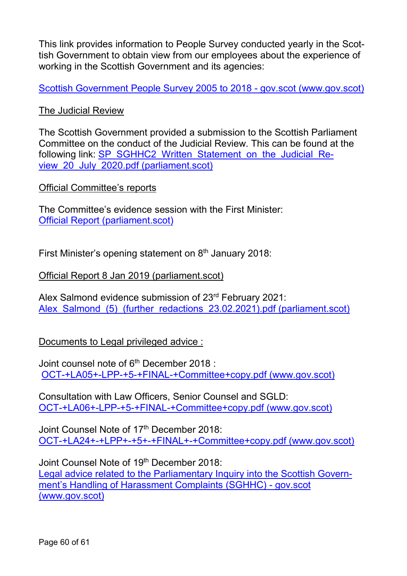This link provides information to People Survey conducted yearly in the Scottish Government to obtain view from our employees about the experience of working in the Scottish Government and its agencies:

Scottish Government People Survey 2005 to 2018 - gov.scot (www.gov.scot)

#### The Judicial Review

The Scottish Government provided a submission to the Scottish Parliament Committee on the conduct of the Judicial Review. This can be found at the following link: SP SGHHC2 Written Statement on the Judicial Review 20 July 2020.pdf (parliament.scot)

#### Official Committee's reports

The Committee's evidence session with the First Minister: Official Report (parliament.scot)

First Minister's opening statement on  $8<sup>th</sup>$  January 2018:

#### Official Report 8 Jan 2019 (parliament.scot)

Alex Salmond evidence submission of 23rd February 2021: Alex Salmond (5) (further redactions 23.02.2021).pdf (parliament.scot)

Documents to Legal privileged advice :

Joint counsel note of 6<sup>th</sup> December 2018 : OCT-+LA05+-LPP-+5-+FINAL-+Committee+copy.pdf (www.gov.scot)

Consultation with Law Officers, Senior Counsel and SGLD: OCT-+LA06+-LPP-+5-+FINAL-+Committee+copy.pdf (www.gov.scot)

Joint Counsel Note of 17<sup>th</sup> December 2018: OCT-+LA24+-+LPP+-+5+-+FINAL+-+Committee+copy.pdf (www.gov.scot)

Joint Counsel Note of 19th December 2018: Legal advice related to the Parliamentary Inquiry into the Scottish Government's Handling of Harassment Complaints (SGHHC) - gov.scot (www.gov.scot)